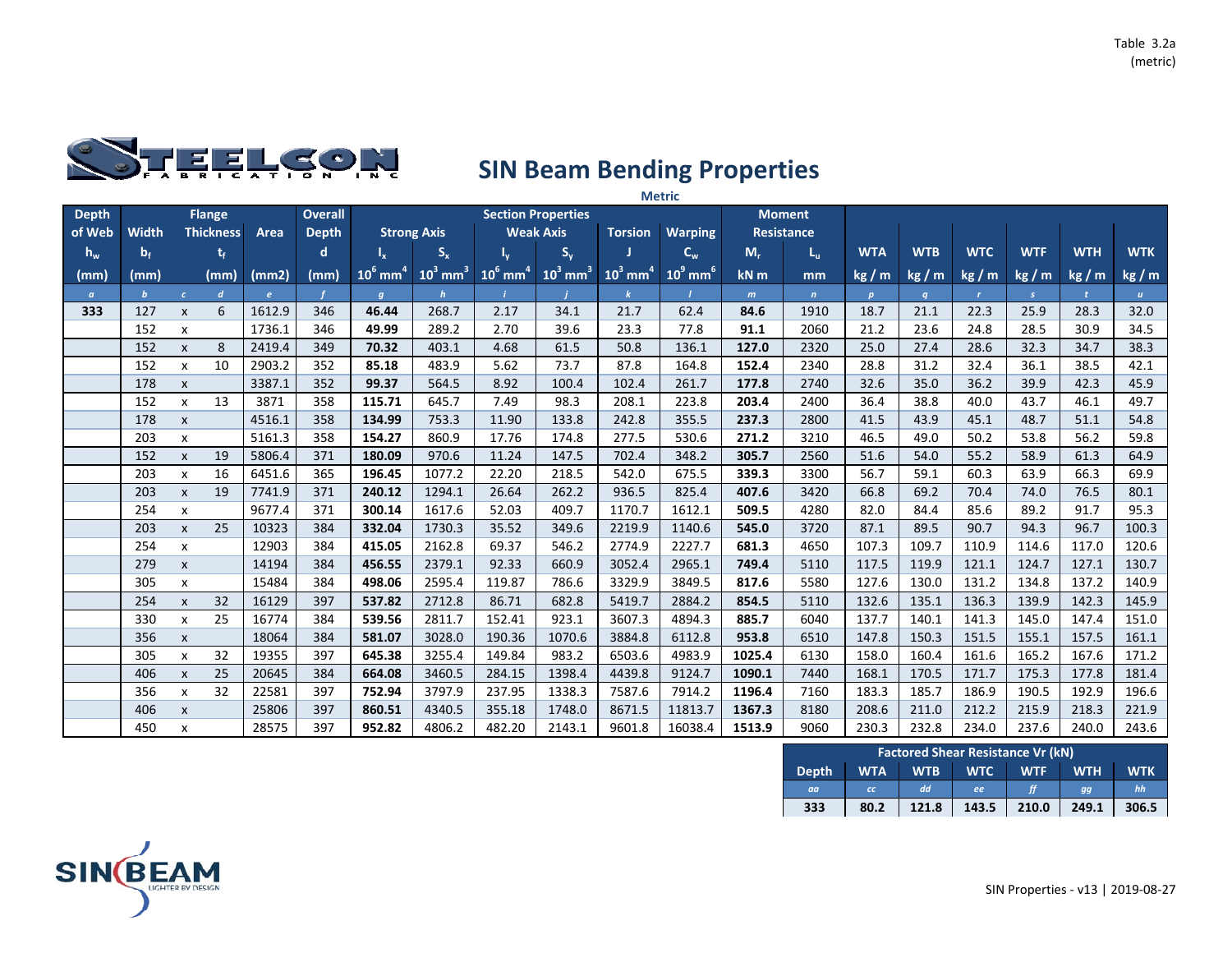

|              |              |                           |                  |            |                |                        |                        |                        |                           |                        | <b>Metric</b>          |        |                   |              |            |              |               |              |              |
|--------------|--------------|---------------------------|------------------|------------|----------------|------------------------|------------------------|------------------------|---------------------------|------------------------|------------------------|--------|-------------------|--------------|------------|--------------|---------------|--------------|--------------|
| <b>Depth</b> |              |                           | <b>Flange</b>    |            | <b>Overall</b> |                        |                        |                        | <b>Section Properties</b> |                        |                        |        | <b>Moment</b>     |              |            |              |               |              |              |
| of Web       | Width        |                           | <b>Thickness</b> | Area       | <b>Depth</b>   |                        | <b>Strong Axis</b>     |                        | <b>Weak Axis</b>          | <b>Torsion</b>         | <b>Warping</b>         |        | <b>Resistance</b> |              |            |              |               |              |              |
| $h_w$        | $b_f$        |                           | t,               |            | d              | $I_{x}$                | $S_{x}$                |                        | $S_{y}$                   |                        | $C_w$                  | $M_r$  | $L_{\rm u}$       | <b>WTA</b>   | <b>WTB</b> | <b>WTC</b>   | <b>WTF</b>    | <b>WTH</b>   | <b>WTK</b>   |
| (mm)         | (mm)         |                           | (mm)             | (mm2)      | (mm)           | $10^6$ mm <sup>4</sup> | $10^3$ mm <sup>3</sup> | $10^6$ mm <sup>4</sup> | $10^3$ mm <sup>3</sup>    | $10^3$ mm <sup>4</sup> | $10^9$ mm <sup>6</sup> | kN m   | mm                | kg/m         | kg/m       | kg/m         | kg/m          | kg/m         | kg / m       |
| $\alpha$     | $\mathbf{b}$ | $\epsilon$                | $\boldsymbol{d}$ | $\epsilon$ |                | $\boldsymbol{q}$       | h                      |                        |                           |                        |                        | m      | $\mathbf{n}$      | $\mathbf{p}$ | q          | $\mathbf{r}$ | $\mathcal{S}$ | $\mathbf{t}$ | $\mathbf{u}$ |
| 333          | 127          | $\mathsf{x}$              | 6                | 1612.9     | 346            | 46.44                  | 268.7                  | 2.17                   | 34.1                      | 21.7                   | 62.4                   | 84.6   | 1910              | 18.7         | 21.1       | 22.3         | 25.9          | 28.3         | 32.0         |
|              | 152          | X                         |                  | 1736.1     | 346            | 49.99                  | 289.2                  | 2.70                   | 39.6                      | 23.3                   | 77.8                   | 91.1   | 2060              | 21.2         | 23.6       | 24.8         | 28.5          | 30.9         | 34.5         |
|              | 152          | $\mathsf{x}$              | 8                | 2419.4     | 349            | 70.32                  | 403.1                  | 4.68                   | 61.5                      | 50.8                   | 136.1                  | 127.0  | 2320              | 25.0         | 27.4       | 28.6         | 32.3          | 34.7         | 38.3         |
|              | 152          | X                         | 10               | 2903.2     | 352            | 85.18                  | 483.9                  | 5.62                   | 73.7                      | 87.8                   | 164.8                  | 152.4  | 2340              | 28.8         | 31.2       | 32.4         | 36.1          | 38.5         | 42.1         |
|              | 178          | $\pmb{\chi}$              |                  | 3387.1     | 352            | 99.37                  | 564.5                  | 8.92                   | 100.4                     | 102.4                  | 261.7                  | 177.8  | 2740              | 32.6         | 35.0       | 36.2         | 39.9          | 42.3         | 45.9         |
|              | 152          | $\pmb{\chi}$              | 13               | 3871       | 358            | 115.71                 | 645.7                  | 7.49                   | 98.3                      | 208.1                  | 223.8                  | 203.4  | 2400              | 36.4         | 38.8       | 40.0         | 43.7          | 46.1         | 49.7         |
|              | 178          | $\pmb{\chi}$              |                  | 4516.1     | 358            | 134.99                 | 753.3                  | 11.90                  | 133.8                     | 242.8                  | 355.5                  | 237.3  | 2800              | 41.5         | 43.9       | 45.1         | 48.7          | 51.1         | 54.8         |
|              | 203          | X                         |                  | 5161.3     | 358            | 154.27                 | 860.9                  | 17.76                  | 174.8                     | 277.5                  | 530.6                  | 271.2  | 3210              | 46.5         | 49.0       | 50.2         | 53.8          | 56.2         | 59.8         |
|              | 152          | $\mathsf{x}$              | 19               | 5806.4     | 371            | 180.09                 | 970.6                  | 11.24                  | 147.5                     | 702.4                  | 348.2                  | 305.7  | 2560              | 51.6         | 54.0       | 55.2         | 58.9          | 61.3         | 64.9         |
|              | 203          | X                         | 16               | 6451.6     | 365            | 196.45                 | 1077.2                 | 22.20                  | 218.5                     | 542.0                  | 675.5                  | 339.3  | 3300              | 56.7         | 59.1       | 60.3         | 63.9          | 66.3         | 69.9         |
|              | 203          | $\pmb{\chi}$              | 19               | 7741.9     | 371            | 240.12                 | 1294.1                 | 26.64                  | 262.2                     | 936.5                  | 825.4                  | 407.6  | 3420              | 66.8         | 69.2       | 70.4         | 74.0          | 76.5         | 80.1         |
|              | 254          | x                         |                  | 9677.4     | 371            | 300.14                 | 1617.6                 | 52.03                  | 409.7                     | 1170.7                 | 1612.1                 | 509.5  | 4280              | 82.0         | 84.4       | 85.6         | 89.2          | 91.7         | 95.3         |
|              | 203          | $\pmb{\chi}$              | 25               | 10323      | 384            | 332.04                 | 1730.3                 | 35.52                  | 349.6                     | 2219.9                 | 1140.6                 | 545.0  | 3720              | 87.1         | 89.5       | 90.7         | 94.3          | 96.7         | 100.3        |
|              | 254          | X                         |                  | 12903      | 384            | 415.05                 | 2162.8                 | 69.37                  | 546.2                     | 2774.9                 | 2227.7                 | 681.3  | 4650              | 107.3        | 109.7      | 110.9        | 114.6         | 117.0        | 120.6        |
|              | 279          | $\pmb{\chi}$              |                  | 14194      | 384            | 456.55                 | 2379.1                 | 92.33                  | 660.9                     | 3052.4                 | 2965.1                 | 749.4  | 5110              | 117.5        | 119.9      | 121.1        | 124.7         | 127.1        | 130.7        |
|              | 305          | x                         |                  | 15484      | 384            | 498.06                 | 2595.4                 | 119.87                 | 786.6                     | 3329.9                 | 3849.5                 | 817.6  | 5580              | 127.6        | 130.0      | 131.2        | 134.8         | 137.2        | 140.9        |
|              | 254          | $\pmb{\chi}$              | 32               | 16129      | 397            | 537.82                 | 2712.8                 | 86.71                  | 682.8                     | 5419.7                 | 2884.2                 | 854.5  | 5110              | 132.6        | 135.1      | 136.3        | 139.9         | 142.3        | 145.9        |
|              | 330          | $\boldsymbol{\mathsf{x}}$ | 25               | 16774      | 384            | 539.56                 | 2811.7                 | 152.41                 | 923.1                     | 3607.3                 | 4894.3                 | 885.7  | 6040              | 137.7        | 140.1      | 141.3        | 145.0         | 147.4        | 151.0        |
|              | 356          | $\pmb{\chi}$              |                  | 18064      | 384            | 581.07                 | 3028.0                 | 190.36                 | 1070.6                    | 3884.8                 | 6112.8                 | 953.8  | 6510              | 147.8        | 150.3      | 151.5        | 155.1         | 157.5        | 161.1        |
|              | 305          | X                         | 32               | 19355      | 397            | 645.38                 | 3255.4                 | 149.84                 | 983.2                     | 6503.6                 | 4983.9                 | 1025.4 | 6130              | 158.0        | 160.4      | 161.6        | 165.2         | 167.6        | 171.2        |
|              | 406          | $\pmb{\chi}$              | 25               | 20645      | 384            | 664.08                 | 3460.5                 | 284.15                 | 1398.4                    | 4439.8                 | 9124.7                 | 1090.1 | 7440              | 168.1        | 170.5      | 171.7        | 175.3         | 177.8        | 181.4        |
|              | 356          | X                         | 32               | 22581      | 397            | 752.94                 | 3797.9                 | 237.95                 | 1338.3                    | 7587.6                 | 7914.2                 | 1196.4 | 7160              | 183.3        | 185.7      | 186.9        | 190.5         | 192.9        | 196.6        |
|              | 406          | $\mathsf{x}$              |                  | 25806      | 397            | 860.51                 | 4340.5                 | 355.18                 | 1748.0                    | 8671.5                 | 11813.7                | 1367.3 | 8180              | 208.6        | 211.0      | 212.2        | 215.9         | 218.3        | 221.9        |
|              | 450          | x                         |                  | 28575      | 397            | 952.82                 | 4806.2                 | 482.20                 | 2143.1                    | 9601.8                 | 16038.4                | 1513.9 | 9060              | 230.3        | 232.8      | 234.0        | 237.6         | 240.0        | 243.6        |

|              |            |            | <b>Factored Shear Resistance Vr (kN)</b> |            |            |            |
|--------------|------------|------------|------------------------------------------|------------|------------|------------|
| <b>Depth</b> | <b>WTA</b> | <b>WTB</b> | <b>WTC</b>                               | <b>WTF</b> | <b>WTH</b> | <b>WTK</b> |
| aa           | cc         | dd.        | ee                                       |            | gg         | hh         |
| 333          | 80.2       | 121.8      | 143.5                                    | 210.0      | 249.1      | 306.5      |

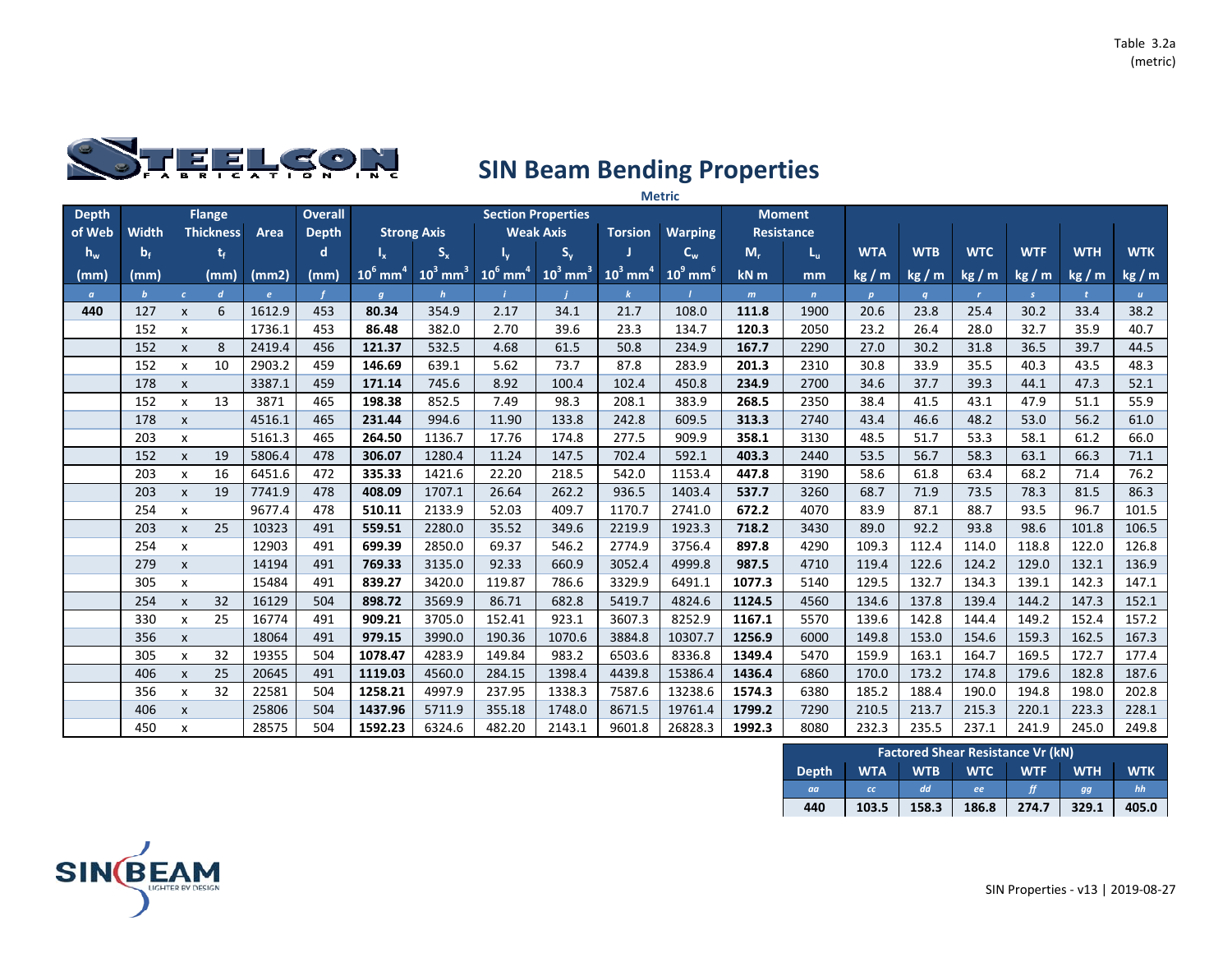

|              |              |                           |                  |        |                |                        |                        |                        |                           |                        | <b>Metric</b>          |        |                   |              |            |              |               |              |              |
|--------------|--------------|---------------------------|------------------|--------|----------------|------------------------|------------------------|------------------------|---------------------------|------------------------|------------------------|--------|-------------------|--------------|------------|--------------|---------------|--------------|--------------|
| <b>Depth</b> |              |                           | <b>Flange</b>    |        | <b>Overall</b> |                        |                        |                        | <b>Section Properties</b> |                        |                        |        | <b>Moment</b>     |              |            |              |               |              |              |
| of Web       | Width        |                           | <b>Thickness</b> | Area   | <b>Depth</b>   |                        | <b>Strong Axis</b>     |                        | <b>Weak Axis</b>          | <b>Torsion</b>         | <b>Warping</b>         |        | <b>Resistance</b> |              |            |              |               |              |              |
| $h_w$        | $b_f$        |                           | t,               |        | d              | $I_{x}$                | $S_{x}$                |                        | $S_{y}$                   |                        | $C_w$                  | $M_r$  | $L_{\rm u}$       | <b>WTA</b>   | <b>WTB</b> | <b>WTC</b>   | <b>WTF</b>    | <b>WTH</b>   | <b>WTK</b>   |
| (mm)         | (mm)         |                           | (mm)             | (mm2)  | (mm)           | $10^6$ mm <sup>4</sup> | $10^3$ mm <sup>3</sup> | $10^6$ mm <sup>4</sup> | $10^3$ mm <sup>3</sup>    | $10^3$ mm <sup>4</sup> | $10^9$ mm <sup>6</sup> | kN m   | mm                | kg/m         | kg/m       | kg/m         | kg/m          | kg/m         | kg / m       |
| $\alpha$     | $\mathbf{b}$ | $\mathcal{C}$             | $\boldsymbol{d}$ | e      |                | $\boldsymbol{q}$       | $\mathbf{h}$           |                        |                           |                        |                        | m      | $\mathbf{n}$      | $\mathbf{p}$ | q          | $\mathbf{r}$ | $\mathcal{S}$ | $\mathbf{t}$ | $\mathbf{u}$ |
| 440          | 127          | $\mathsf{x}$              | 6                | 1612.9 | 453            | 80.34                  | 354.9                  | 2.17                   | 34.1                      | 21.7                   | 108.0                  | 111.8  | 1900              | 20.6         | 23.8       | 25.4         | 30.2          | 33.4         | 38.2         |
|              | 152          | X                         |                  | 1736.1 | 453            | 86.48                  | 382.0                  | 2.70                   | 39.6                      | 23.3                   | 134.7                  | 120.3  | 2050              | 23.2         | 26.4       | 28.0         | 32.7          | 35.9         | 40.7         |
|              | 152          | $\mathsf{x}$              | 8                | 2419.4 | 456            | 121.37                 | 532.5                  | 4.68                   | 61.5                      | 50.8                   | 234.9                  | 167.7  | 2290              | 27.0         | 30.2       | 31.8         | 36.5          | 39.7         | 44.5         |
|              | 152          | X                         | 10               | 2903.2 | 459            | 146.69                 | 639.1                  | 5.62                   | 73.7                      | 87.8                   | 283.9                  | 201.3  | 2310              | 30.8         | 33.9       | 35.5         | 40.3          | 43.5         | 48.3         |
|              | 178          | $\pmb{\chi}$              |                  | 3387.1 | 459            | 171.14                 | 745.6                  | 8.92                   | 100.4                     | 102.4                  | 450.8                  | 234.9  | 2700              | 34.6         | 37.7       | 39.3         | 44.1          | 47.3         | 52.1         |
|              | 152          | $\pmb{\chi}$              | 13               | 3871   | 465            | 198.38                 | 852.5                  | 7.49                   | 98.3                      | 208.1                  | 383.9                  | 268.5  | 2350              | 38.4         | 41.5       | 43.1         | 47.9          | 51.1         | 55.9         |
|              | 178          | $\pmb{\chi}$              |                  | 4516.1 | 465            | 231.44                 | 994.6                  | 11.90                  | 133.8                     | 242.8                  | 609.5                  | 313.3  | 2740              | 43.4         | 46.6       | 48.2         | 53.0          | 56.2         | 61.0         |
|              | 203          | X                         |                  | 5161.3 | 465            | 264.50                 | 1136.7                 | 17.76                  | 174.8                     | 277.5                  | 909.9                  | 358.1  | 3130              | 48.5         | 51.7       | 53.3         | 58.1          | 61.2         | 66.0         |
|              | 152          | $\mathsf{x}$              | 19               | 5806.4 | 478            | 306.07                 | 1280.4                 | 11.24                  | 147.5                     | 702.4                  | 592.1                  | 403.3  | 2440              | 53.5         | 56.7       | 58.3         | 63.1          | 66.3         | 71.1         |
|              | 203          | X                         | 16               | 6451.6 | 472            | 335.33                 | 1421.6                 | 22.20                  | 218.5                     | 542.0                  | 1153.4                 | 447.8  | 3190              | 58.6         | 61.8       | 63.4         | 68.2          | 71.4         | 76.2         |
|              | 203          | $\pmb{\chi}$              | 19               | 7741.9 | 478            | 408.09                 | 1707.1                 | 26.64                  | 262.2                     | 936.5                  | 1403.4                 | 537.7  | 3260              | 68.7         | 71.9       | 73.5         | 78.3          | 81.5         | 86.3         |
|              | 254          | x                         |                  | 9677.4 | 478            | 510.11                 | 2133.9                 | 52.03                  | 409.7                     | 1170.7                 | 2741.0                 | 672.2  | 4070              | 83.9         | 87.1       | 88.7         | 93.5          | 96.7         | 101.5        |
|              | 203          | $\pmb{\chi}$              | 25               | 10323  | 491            | 559.51                 | 2280.0                 | 35.52                  | 349.6                     | 2219.9                 | 1923.3                 | 718.2  | 3430              | 89.0         | 92.2       | 93.8         | 98.6          | 101.8        | 106.5        |
|              | 254          | X                         |                  | 12903  | 491            | 699.39                 | 2850.0                 | 69.37                  | 546.2                     | 2774.9                 | 3756.4                 | 897.8  | 4290              | 109.3        | 112.4      | 114.0        | 118.8         | 122.0        | 126.8        |
|              | 279          | $\pmb{\chi}$              |                  | 14194  | 491            | 769.33                 | 3135.0                 | 92.33                  | 660.9                     | 3052.4                 | 4999.8                 | 987.5  | 4710              | 119.4        | 122.6      | 124.2        | 129.0         | 132.1        | 136.9        |
|              | 305          | x                         |                  | 15484  | 491            | 839.27                 | 3420.0                 | 119.87                 | 786.6                     | 3329.9                 | 6491.1                 | 1077.3 | 5140              | 129.5        | 132.7      | 134.3        | 139.1         | 142.3        | 147.1        |
|              | 254          | $\pmb{\chi}$              | 32               | 16129  | 504            | 898.72                 | 3569.9                 | 86.71                  | 682.8                     | 5419.7                 | 4824.6                 | 1124.5 | 4560              | 134.6        | 137.8      | 139.4        | 144.2         | 147.3        | 152.1        |
|              | 330          | $\boldsymbol{\mathsf{x}}$ | 25               | 16774  | 491            | 909.21                 | 3705.0                 | 152.41                 | 923.1                     | 3607.3                 | 8252.9                 | 1167.1 | 5570              | 139.6        | 142.8      | 144.4        | 149.2         | 152.4        | 157.2        |
|              | 356          | $\pmb{\chi}$              |                  | 18064  | 491            | 979.15                 | 3990.0                 | 190.36                 | 1070.6                    | 3884.8                 | 10307.7                | 1256.9 | 6000              | 149.8        | 153.0      | 154.6        | 159.3         | 162.5        | 167.3        |
|              | 305          | X                         | 32               | 19355  | 504            | 1078.47                | 4283.9                 | 149.84                 | 983.2                     | 6503.6                 | 8336.8                 | 1349.4 | 5470              | 159.9        | 163.1      | 164.7        | 169.5         | 172.7        | 177.4        |
|              | 406          | $\pmb{\chi}$              | 25               | 20645  | 491            | 1119.03                | 4560.0                 | 284.15                 | 1398.4                    | 4439.8                 | 15386.4                | 1436.4 | 6860              | 170.0        | 173.2      | 174.8        | 179.6         | 182.8        | 187.6        |
|              | 356          | X                         | 32               | 22581  | 504            | 1258.21                | 4997.9                 | 237.95                 | 1338.3                    | 7587.6                 | 13238.6                | 1574.3 | 6380              | 185.2        | 188.4      | 190.0        | 194.8         | 198.0        | 202.8        |
|              | 406          | $\mathsf{x}$              |                  | 25806  | 504            | 1437.96                | 5711.9                 | 355.18                 | 1748.0                    | 8671.5                 | 19761.4                | 1799.2 | 7290              | 210.5        | 213.7      | 215.3        | 220.1         | 223.3        | 228.1        |
|              | 450          | x                         |                  | 28575  | 504            | 1592.23                | 6324.6                 | 482.20                 | 2143.1                    | 9601.8                 | 26828.3                | 1992.3 | 8080              | 232.3        | 235.5      | 237.1        | 241.9         | 245.0        | 249.8        |

|              |            |            | <b>Factored Shear Resistance Vr (kN)</b> |            |            |            |
|--------------|------------|------------|------------------------------------------|------------|------------|------------|
| <b>Depth</b> | <b>WTA</b> | <b>WTB</b> | <b>WTC</b>                               | <b>WTF</b> | <b>WTH</b> | <b>WTK</b> |
| aa           | cc         | dd         | ee                                       |            | aa         | hh         |
| 440          | 103.5      | 158.3      | 186.8                                    | 274.7      | 329.1      | 405.0      |

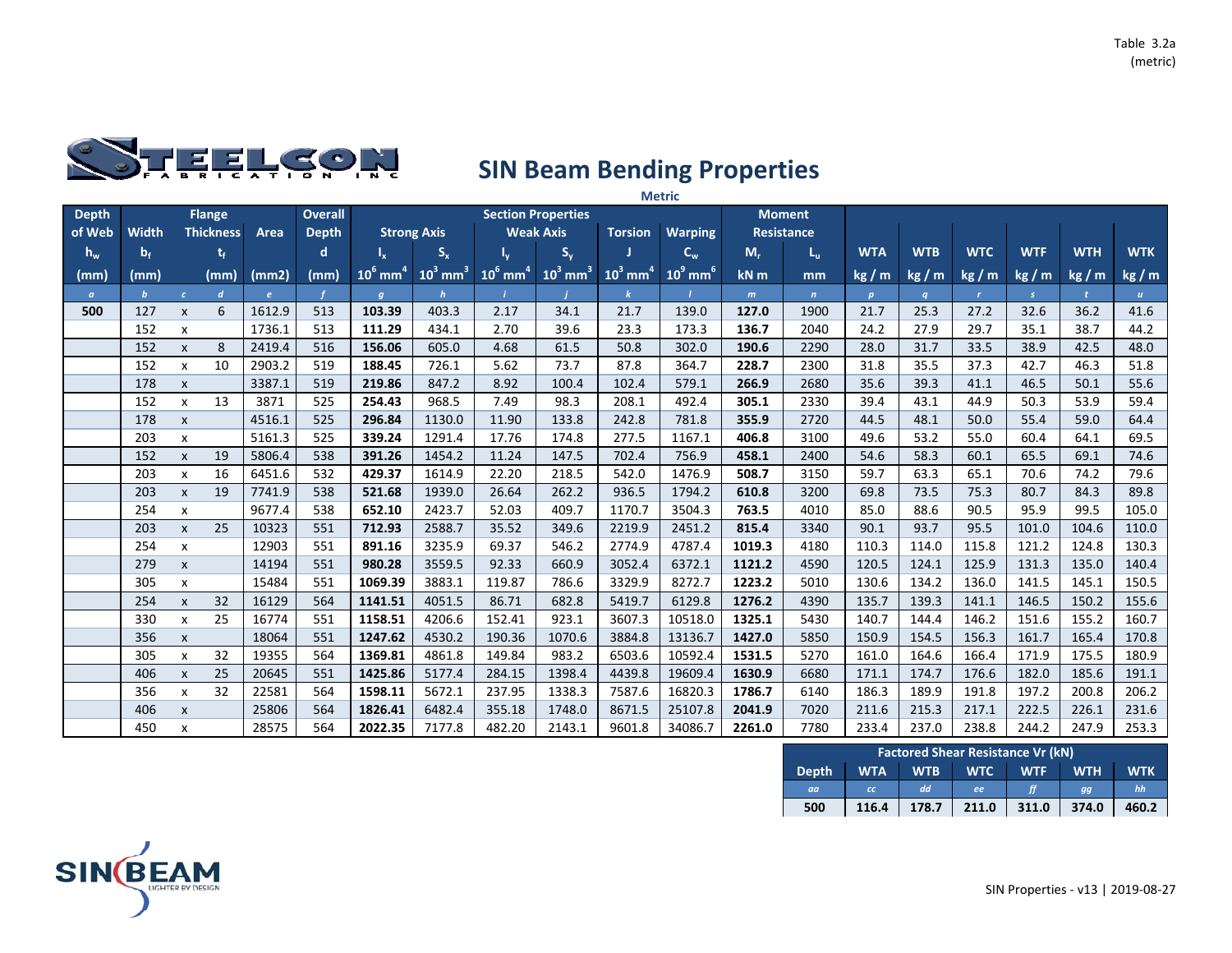

|              |              |                           |                  |              |                |                        |                        |                        |                           |                        | <b>Metric</b>           |        |                   |                  |            |              |            |              |              |
|--------------|--------------|---------------------------|------------------|--------------|----------------|------------------------|------------------------|------------------------|---------------------------|------------------------|-------------------------|--------|-------------------|------------------|------------|--------------|------------|--------------|--------------|
| <b>Depth</b> |              |                           | <b>Flange</b>    |              | <b>Overall</b> |                        |                        |                        | <b>Section Properties</b> |                        |                         |        | <b>Moment</b>     |                  |            |              |            |              |              |
| of Web       | <b>Width</b> |                           | <b>Thickness</b> | Area         | <b>Depth</b>   |                        | <b>Strong Axis</b>     |                        | <b>Weak Axis</b>          | <b>Torsion</b>         | <b>Warping</b>          |        | <b>Resistance</b> |                  |            |              |            |              |              |
| $h_w$        | $b_f$        |                           | t,               |              | d              | $I_x$                  | $S_{x}$                |                        | $S_{y}$                   |                        | $\mathbf{C}_\mathbf{w}$ | $M_r$  | $L_{\rm u}$       | <b>WTA</b>       | <b>WTB</b> | <b>WTC</b>   | <b>WTF</b> | <b>WTH</b>   | <b>WTK</b>   |
| (mm)         | (mm)         |                           | (mm)             | (mm2)        | (mm)           | $10^6$ mm <sup>4</sup> | $10^3$ mm <sup>3</sup> | $10^6$ mm <sup>4</sup> | $10^3$ mm <sup>3</sup>    | $10^3$ mm <sup>4</sup> | $10^9$ mm <sup>6</sup>  | kN m   | mm                | kg/m             | kg/m       | kg/m         | kg/m       | kg/m         | kg/m         |
| $\alpha$     | $\mathbf b$  | $\mathcal{C}$             | $\boldsymbol{d}$ | $\mathbf{e}$ |                | $\boldsymbol{q}$       | $\mathbf h$            |                        |                           |                        |                         | m      | n                 | $\boldsymbol{p}$ | q          | $\mathbf{r}$ | S          | $\mathbf{t}$ | $\mathbf{u}$ |
| 500          | 127          | $\mathsf{x}$              | 6                | 1612.9       | 513            | 103.39                 | 403.3                  | 2.17                   | 34.1                      | 21.7                   | 139.0                   | 127.0  | 1900              | 21.7             | 25.3       | 27.2         | 32.6       | 36.2         | 41.6         |
|              | 152          | $\boldsymbol{\mathsf{x}}$ |                  | 1736.1       | 513            | 111.29                 | 434.1                  | 2.70                   | 39.6                      | 23.3                   | 173.3                   | 136.7  | 2040              | 24.2             | 27.9       | 29.7         | 35.1       | 38.7         | 44.2         |
|              | 152          | $\mathsf{x}$              | 8                | 2419.4       | 516            | 156.06                 | 605.0                  | 4.68                   | 61.5                      | 50.8                   | 302.0                   | 190.6  | 2290              | 28.0             | 31.7       | 33.5         | 38.9       | 42.5         | 48.0         |
|              | 152          | $\pmb{\times}$            | 10               | 2903.2       | 519            | 188.45                 | 726.1                  | 5.62                   | 73.7                      | 87.8                   | 364.7                   | 228.7  | 2300              | 31.8             | 35.5       | 37.3         | 42.7       | 46.3         | 51.8         |
|              | 178          | $\pmb{\times}$            |                  | 3387.1       | 519            | 219.86                 | 847.2                  | 8.92                   | 100.4                     | 102.4                  | 579.1                   | 266.9  | 2680              | 35.6             | 39.3       | 41.1         | 46.5       | 50.1         | 55.6         |
|              | 152          | $\mathsf{x}$              | 13               | 3871         | 525            | 254.43                 | 968.5                  | 7.49                   | 98.3                      | 208.1                  | 492.4                   | 305.1  | 2330              | 39.4             | 43.1       | 44.9         | 50.3       | 53.9         | 59.4         |
|              | 178          | $\pmb{\chi}$              |                  | 4516.1       | 525            | 296.84                 | 1130.0                 | 11.90                  | 133.8                     | 242.8                  | 781.8                   | 355.9  | 2720              | 44.5             | 48.1       | 50.0         | 55.4       | 59.0         | 64.4         |
|              | 203          | X                         |                  | 5161.3       | 525            | 339.24                 | 1291.4                 | 17.76                  | 174.8                     | 277.5                  | 1167.1                  | 406.8  | 3100              | 49.6             | 53.2       | 55.0         | 60.4       | 64.1         | 69.5         |
|              | 152          | $\boldsymbol{\mathsf{x}}$ | 19               | 5806.4       | 538            | 391.26                 | 1454.2                 | 11.24                  | 147.5                     | 702.4                  | 756.9                   | 458.1  | 2400              | 54.6             | 58.3       | 60.1         | 65.5       | 69.1         | 74.6         |
|              | 203          | $\boldsymbol{\mathsf{x}}$ | 16               | 6451.6       | 532            | 429.37                 | 1614.9                 | 22.20                  | 218.5                     | 542.0                  | 1476.9                  | 508.7  | 3150              | 59.7             | 63.3       | 65.1         | 70.6       | 74.2         | 79.6         |
|              | 203          | $\mathsf{x}$              | 19               | 7741.9       | 538            | 521.68                 | 1939.0                 | 26.64                  | 262.2                     | 936.5                  | 1794.2                  | 610.8  | 3200              | 69.8             | 73.5       | 75.3         | 80.7       | 84.3         | 89.8         |
|              | 254          | x                         |                  | 9677.4       | 538            | 652.10                 | 2423.7                 | 52.03                  | 409.7                     | 1170.7                 | 3504.3                  | 763.5  | 4010              | 85.0             | 88.6       | 90.5         | 95.9       | 99.5         | 105.0        |
|              | 203          | $\mathsf{x}$              | 25               | 10323        | 551            | 712.93                 | 2588.7                 | 35.52                  | 349.6                     | 2219.9                 | 2451.2                  | 815.4  | 3340              | 90.1             | 93.7       | 95.5         | 101.0      | 104.6        | 110.0        |
|              | 254          | x                         |                  | 12903        | 551            | 891.16                 | 3235.9                 | 69.37                  | 546.2                     | 2774.9                 | 4787.4                  | 1019.3 | 4180              | 110.3            | 114.0      | 115.8        | 121.2      | 124.8        | 130.3        |
|              | 279          | $\boldsymbol{\mathsf{x}}$ |                  | 14194        | 551            | 980.28                 | 3559.5                 | 92.33                  | 660.9                     | 3052.4                 | 6372.1                  | 1121.2 | 4590              | 120.5            | 124.1      | 125.9        | 131.3      | 135.0        | 140.4        |
|              | 305          | $\pmb{\times}$            |                  | 15484        | 551            | 1069.39                | 3883.1                 | 119.87                 | 786.6                     | 3329.9                 | 8272.7                  | 1223.2 | 5010              | 130.6            | 134.2      | 136.0        | 141.5      | 145.1        | 150.5        |
|              | 254          | $\pmb{\times}$            | 32               | 16129        | 564            | 1141.51                | 4051.5                 | 86.71                  | 682.8                     | 5419.7                 | 6129.8                  | 1276.2 | 4390              | 135.7            | 139.3      | 141.1        | 146.5      | 150.2        | 155.6        |
|              | 330          | $\mathsf{x}$              | 25               | 16774        | 551            | 1158.51                | 4206.6                 | 152.41                 | 923.1                     | 3607.3                 | 10518.0                 | 1325.1 | 5430              | 140.7            | 144.4      | 146.2        | 151.6      | 155.2        | 160.7        |
|              | 356          | $\pmb{\chi}$              |                  | 18064        | 551            | 1247.62                | 4530.2                 | 190.36                 | 1070.6                    | 3884.8                 | 13136.7                 | 1427.0 | 5850              | 150.9            | 154.5      | 156.3        | 161.7      | 165.4        | 170.8        |
|              | 305          | $\boldsymbol{\mathsf{x}}$ | 32               | 19355        | 564            | 1369.81                | 4861.8                 | 149.84                 | 983.2                     | 6503.6                 | 10592.4                 | 1531.5 | 5270              | 161.0            | 164.6      | 166.4        | 171.9      | 175.5        | 180.9        |
|              | 406          | $\boldsymbol{\mathsf{x}}$ | 25               | 20645        | 551            | 1425.86                | 5177.4                 | 284.15                 | 1398.4                    | 4439.8                 | 19609.4                 | 1630.9 | 6680              | 171.1            | 174.7      | 176.6        | 182.0      | 185.6        | 191.1        |
|              | 356          | $\mathsf{x}$              | 32               | 22581        | 564            | 1598.11                | 5672.1                 | 237.95                 | 1338.3                    | 7587.6                 | 16820.3                 | 1786.7 | 6140              | 186.3            | 189.9      | 191.8        | 197.2      | 200.8        | 206.2        |
|              | 406          | $\pmb{\chi}$              |                  | 25806        | 564            | 1826.41                | 6482.4                 | 355.18                 | 1748.0                    | 8671.5                 | 25107.8                 | 2041.9 | 7020              | 211.6            | 215.3      | 217.1        | 222.5      | 226.1        | 231.6        |
|              | 450          | x                         |                  | 28575        | 564            | 2022.35                | 7177.8                 | 482.20                 | 2143.1                    | 9601.8                 | 34086.7                 | 2261.0 | 7780              | 233.4            | 237.0      | 238.8        | 244.2      | 247.9        | 253.3        |

|              |            |            | <b>Factored Shear Resistance Vr (kN)</b> |            |            |            |
|--------------|------------|------------|------------------------------------------|------------|------------|------------|
| <b>Depth</b> | <b>WTA</b> | <b>WTB</b> | <b>WTC</b>                               | <b>WTF</b> | <b>WTH</b> | <b>WTK</b> |
| aa           | cc         | dd         | ee                                       |            | gg         | hh         |
| 500          | 116.4      | 178.7      | 211.0                                    | 311.0      | 374.0      | 460.2      |

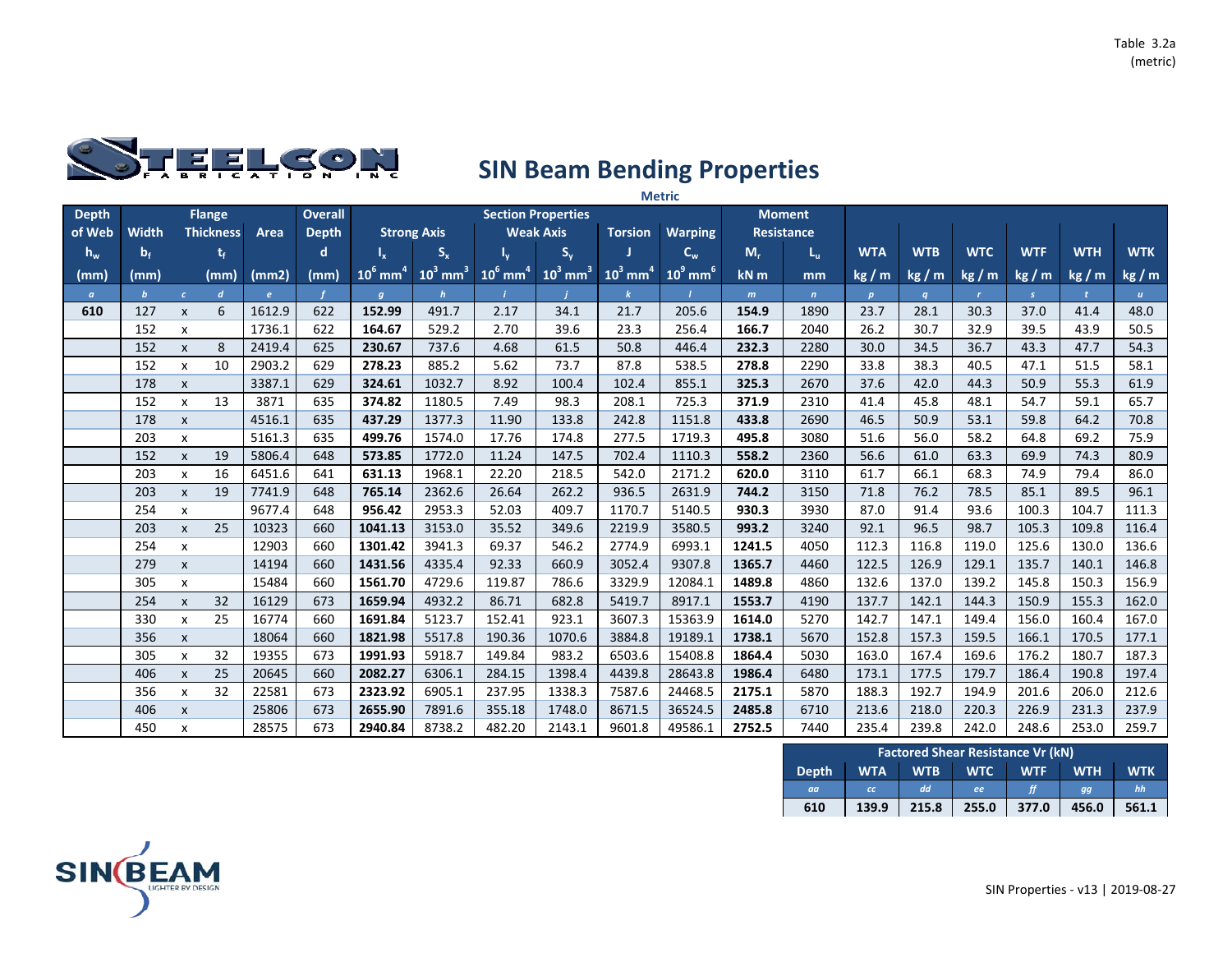

|              |              |                           |                  |        |                |                        |                        |                        |                           |                        | <b>Metric</b>          |        |                   |              |            |              |               |              |              |
|--------------|--------------|---------------------------|------------------|--------|----------------|------------------------|------------------------|------------------------|---------------------------|------------------------|------------------------|--------|-------------------|--------------|------------|--------------|---------------|--------------|--------------|
| <b>Depth</b> |              |                           | <b>Flange</b>    |        | <b>Overall</b> |                        |                        |                        | <b>Section Properties</b> |                        |                        |        | <b>Moment</b>     |              |            |              |               |              |              |
| of Web       | <b>Width</b> |                           | <b>Thickness</b> | Area   | <b>Depth</b>   |                        | <b>Strong Axis</b>     |                        | <b>Weak Axis</b>          | <b>Torsion</b>         | <b>Warping</b>         |        | <b>Resistance</b> |              |            |              |               |              |              |
| $h_w$        | $b_f$        |                           | t,               |        | d              | $I_{x}$                | $S_{x}$                |                        | $S_{y}$                   |                        | $C_w$                  | $M_r$  | $L_{\rm u}$       | <b>WTA</b>   | <b>WTB</b> | <b>WTC</b>   | <b>WTF</b>    | <b>WTH</b>   | <b>WTK</b>   |
| (mm)         | (mm)         |                           | (mm)             | (mm2)  | (mm)           | $10^6$ mm <sup>4</sup> | $10^3$ mm <sup>3</sup> | $10^6$ mm <sup>4</sup> | $10^3$ mm <sup>3</sup>    | $10^3$ mm <sup>4</sup> | $10^9$ mm <sup>6</sup> | kN m   | mm                | kg/m         | kg/m       | kg/m         | kg/m          | kg/m         | kg / m       |
| $\alpha$     | $\mathbf{b}$ | $\mathcal{C}$             | $\boldsymbol{d}$ | e      |                | $\boldsymbol{q}$       | $\mathbf{h}$           |                        |                           |                        |                        | m      | $\mathbf{n}$      | $\mathbf{p}$ | q          | $\mathbf{r}$ | $\mathcal{S}$ | $\mathbf{t}$ | $\mathbf{u}$ |
| 610          | 127          | $\mathsf{x}$              | 6                | 1612.9 | 622            | 152.99                 | 491.7                  | 2.17                   | 34.1                      | 21.7                   | 205.6                  | 154.9  | 1890              | 23.7         | 28.1       | 30.3         | 37.0          | 41.4         | 48.0         |
|              | 152          | X                         |                  | 1736.1 | 622            | 164.67                 | 529.2                  | 2.70                   | 39.6                      | 23.3                   | 256.4                  | 166.7  | 2040              | 26.2         | 30.7       | 32.9         | 39.5          | 43.9         | 50.5         |
|              | 152          | $\mathsf{x}$              | 8                | 2419.4 | 625            | 230.67                 | 737.6                  | 4.68                   | 61.5                      | 50.8                   | 446.4                  | 232.3  | 2280              | 30.0         | 34.5       | 36.7         | 43.3          | 47.7         | 54.3         |
|              | 152          | X                         | 10               | 2903.2 | 629            | 278.23                 | 885.2                  | 5.62                   | 73.7                      | 87.8                   | 538.5                  | 278.8  | 2290              | 33.8         | 38.3       | 40.5         | 47.1          | 51.5         | 58.1         |
|              | 178          | $\pmb{\chi}$              |                  | 3387.1 | 629            | 324.61                 | 1032.7                 | 8.92                   | 100.4                     | 102.4                  | 855.1                  | 325.3  | 2670              | 37.6         | 42.0       | 44.3         | 50.9          | 55.3         | 61.9         |
|              | 152          | $\pmb{\chi}$              | 13               | 3871   | 635            | 374.82                 | 1180.5                 | 7.49                   | 98.3                      | 208.1                  | 725.3                  | 371.9  | 2310              | 41.4         | 45.8       | 48.1         | 54.7          | 59.1         | 65.7         |
|              | 178          | $\pmb{\chi}$              |                  | 4516.1 | 635            | 437.29                 | 1377.3                 | 11.90                  | 133.8                     | 242.8                  | 1151.8                 | 433.8  | 2690              | 46.5         | 50.9       | 53.1         | 59.8          | 64.2         | 70.8         |
|              | 203          | X                         |                  | 5161.3 | 635            | 499.76                 | 1574.0                 | 17.76                  | 174.8                     | 277.5                  | 1719.3                 | 495.8  | 3080              | 51.6         | 56.0       | 58.2         | 64.8          | 69.2         | 75.9         |
|              | 152          | $\mathsf{x}$              | 19               | 5806.4 | 648            | 573.85                 | 1772.0                 | 11.24                  | 147.5                     | 702.4                  | 1110.3                 | 558.2  | 2360              | 56.6         | 61.0       | 63.3         | 69.9          | 74.3         | 80.9         |
|              | 203          | X                         | 16               | 6451.6 | 641            | 631.13                 | 1968.1                 | 22.20                  | 218.5                     | 542.0                  | 2171.2                 | 620.0  | 3110              | 61.7         | 66.1       | 68.3         | 74.9          | 79.4         | 86.0         |
|              | 203          | $\pmb{\chi}$              | 19               | 7741.9 | 648            | 765.14                 | 2362.6                 | 26.64                  | 262.2                     | 936.5                  | 2631.9                 | 744.2  | 3150              | 71.8         | 76.2       | 78.5         | 85.1          | 89.5         | 96.1         |
|              | 254          | x                         |                  | 9677.4 | 648            | 956.42                 | 2953.3                 | 52.03                  | 409.7                     | 1170.7                 | 5140.5                 | 930.3  | 3930              | 87.0         | 91.4       | 93.6         | 100.3         | 104.7        | 111.3        |
|              | 203          | $\pmb{\chi}$              | 25               | 10323  | 660            | 1041.13                | 3153.0                 | 35.52                  | 349.6                     | 2219.9                 | 3580.5                 | 993.2  | 3240              | 92.1         | 96.5       | 98.7         | 105.3         | 109.8        | 116.4        |
|              | 254          | X                         |                  | 12903  | 660            | 1301.42                | 3941.3                 | 69.37                  | 546.2                     | 2774.9                 | 6993.1                 | 1241.5 | 4050              | 112.3        | 116.8      | 119.0        | 125.6         | 130.0        | 136.6        |
|              | 279          | $\pmb{\chi}$              |                  | 14194  | 660            | 1431.56                | 4335.4                 | 92.33                  | 660.9                     | 3052.4                 | 9307.8                 | 1365.7 | 4460              | 122.5        | 126.9      | 129.1        | 135.7         | 140.1        | 146.8        |
|              | 305          | x                         |                  | 15484  | 660            | 1561.70                | 4729.6                 | 119.87                 | 786.6                     | 3329.9                 | 12084.1                | 1489.8 | 4860              | 132.6        | 137.0      | 139.2        | 145.8         | 150.3        | 156.9        |
|              | 254          | $\pmb{\chi}$              | 32               | 16129  | 673            | 1659.94                | 4932.2                 | 86.71                  | 682.8                     | 5419.7                 | 8917.1                 | 1553.7 | 4190              | 137.7        | 142.1      | 144.3        | 150.9         | 155.3        | 162.0        |
|              | 330          | $\boldsymbol{\mathsf{x}}$ | 25               | 16774  | 660            | 1691.84                | 5123.7                 | 152.41                 | 923.1                     | 3607.3                 | 15363.9                | 1614.0 | 5270              | 142.7        | 147.1      | 149.4        | 156.0         | 160.4        | 167.0        |
|              | 356          | $\pmb{\chi}$              |                  | 18064  | 660            | 1821.98                | 5517.8                 | 190.36                 | 1070.6                    | 3884.8                 | 19189.1                | 1738.1 | 5670              | 152.8        | 157.3      | 159.5        | 166.1         | 170.5        | 177.1        |
|              | 305          | X                         | 32               | 19355  | 673            | 1991.93                | 5918.7                 | 149.84                 | 983.2                     | 6503.6                 | 15408.8                | 1864.4 | 5030              | 163.0        | 167.4      | 169.6        | 176.2         | 180.7        | 187.3        |
|              | 406          | $\pmb{\chi}$              | 25               | 20645  | 660            | 2082.27                | 6306.1                 | 284.15                 | 1398.4                    | 4439.8                 | 28643.8                | 1986.4 | 6480              | 173.1        | 177.5      | 179.7        | 186.4         | 190.8        | 197.4        |
|              | 356          | X                         | 32               | 22581  | 673            | 2323.92                | 6905.1                 | 237.95                 | 1338.3                    | 7587.6                 | 24468.5                | 2175.1 | 5870              | 188.3        | 192.7      | 194.9        | 201.6         | 206.0        | 212.6        |
|              | 406          | $\mathsf{x}$              |                  | 25806  | 673            | 2655.90                | 7891.6                 | 355.18                 | 1748.0                    | 8671.5                 | 36524.5                | 2485.8 | 6710              | 213.6        | 218.0      | 220.3        | 226.9         | 231.3        | 237.9        |
|              | 450          | x                         |                  | 28575  | 673            | 2940.84                | 8738.2                 | 482.20                 | 2143.1                    | 9601.8                 | 49586.1                | 2752.5 | 7440              | 235.4        | 239.8      | 242.0        | 248.6         | 253.0        | 259.7        |

|              |            |            | <b>Factored Shear Resistance Vr (kN)</b> |            |            |            |
|--------------|------------|------------|------------------------------------------|------------|------------|------------|
| <b>Depth</b> | <b>WTA</b> | <b>WTB</b> | <b>WTC</b>                               | <b>WTF</b> | <b>WTH</b> | <b>WTK</b> |
| aa           | cc         | dd         | ee                                       |            | aa         | hh         |
| 610          | 139.9      | 215.8      | 255.0                                    | 377.0      | 456.0      | 561.1      |

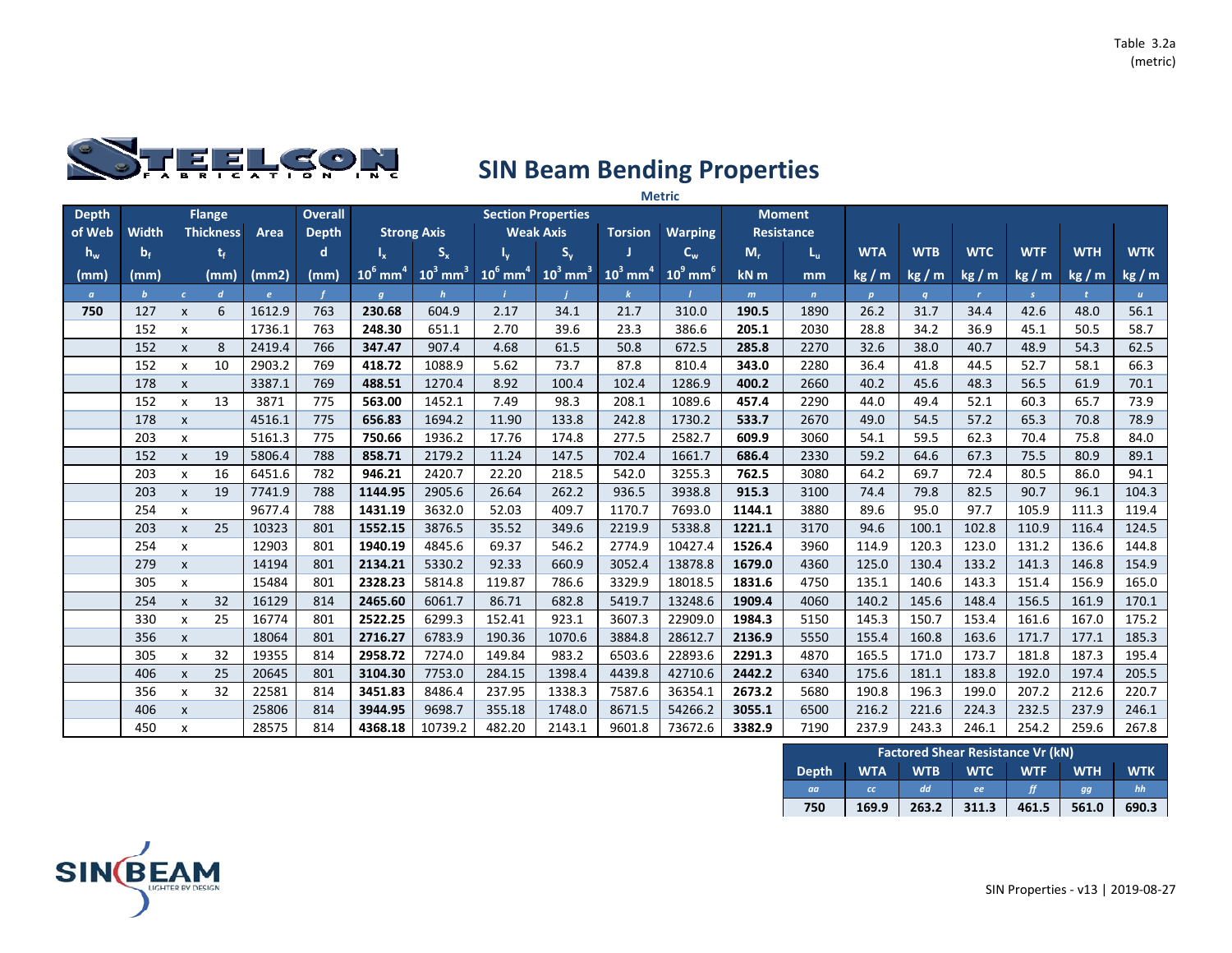

|              |                         |                           |                  |        |                |                        |                        |                        |                           |                        | <b>Metric</b>          |        |                   |            |            |              |            |            |                  |
|--------------|-------------------------|---------------------------|------------------|--------|----------------|------------------------|------------------------|------------------------|---------------------------|------------------------|------------------------|--------|-------------------|------------|------------|--------------|------------|------------|------------------|
| <b>Depth</b> |                         |                           | <b>Flange</b>    |        | <b>Overall</b> |                        |                        |                        | <b>Section Properties</b> |                        |                        |        | <b>Moment</b>     |            |            |              |            |            |                  |
| of Web       | <b>Width</b>            |                           | <b>Thickness</b> | Area   | <b>Depth</b>   |                        | <b>Strong Axis</b>     |                        | <b>Weak Axis</b>          | <b>Torsion</b>         | <b>Warping</b>         |        | <b>Resistance</b> |            |            |              |            |            |                  |
| $h_w$        | $\mathbf{b}_{\text{f}}$ |                           | t,               |        | d              | $I_{x}$                | $S_{x}$                |                        | $S_{y}$                   |                        | $C_w$                  | $M_r$  | $L_{\rm u}$       | <b>WTA</b> | <b>WTB</b> | <b>WTC</b>   | <b>WTF</b> | <b>WTH</b> | <b>WTK</b>       |
| (mm)         | (mm)                    |                           | (mm)             | (mm2)  | (mm)           | $10^6$ mm <sup>4</sup> | $10^3$ mm <sup>3</sup> | $10^6$ mm <sup>4</sup> | $10^3$ mm <sup>3</sup>    | $10^3$ mm <sup>4</sup> | $10^9$ mm <sup>6</sup> | $kN$ m | mm                | kg/m       | kg/m       | kg / m       | kg/m       | kg/m       | kg / m           |
| $\alpha$     | $\mathbf{b}$            | $\mathcal{C}^{\pm}$       | $\boldsymbol{d}$ | e      |                | $\boldsymbol{g}$       | $\mathbf h$            |                        |                           |                        |                        | m      | $\mathbf{n}$      | p          | q          | $\mathbf{r}$ | S.         |            | $\boldsymbol{u}$ |
| 750          | 127                     | $\pmb{\times}$            | 6                | 1612.9 | 763            | 230.68                 | 604.9                  | 2.17                   | 34.1                      | 21.7                   | 310.0                  | 190.5  | 1890              | 26.2       | 31.7       | 34.4         | 42.6       | 48.0       | 56.1             |
|              | 152                     | X                         |                  | 1736.1 | 763            | 248.30                 | 651.1                  | 2.70                   | 39.6                      | 23.3                   | 386.6                  | 205.1  | 2030              | 28.8       | 34.2       | 36.9         | 45.1       | 50.5       | 58.7             |
|              | 152                     | $\pmb{\times}$            | 8                | 2419.4 | 766            | 347.47                 | 907.4                  | 4.68                   | 61.5                      | 50.8                   | 672.5                  | 285.8  | 2270              | 32.6       | 38.0       | 40.7         | 48.9       | 54.3       | 62.5             |
|              | 152                     | x                         | 10               | 2903.2 | 769            | 418.72                 | 1088.9                 | 5.62                   | 73.7                      | 87.8                   | 810.4                  | 343.0  | 2280              | 36.4       | 41.8       | 44.5         | 52.7       | 58.1       | 66.3             |
|              | 178                     | $\pmb{\chi}$              |                  | 3387.1 | 769            | 488.51                 | 1270.4                 | 8.92                   | 100.4                     | 102.4                  | 1286.9                 | 400.2  | 2660              | 40.2       | 45.6       | 48.3         | 56.5       | 61.9       | 70.1             |
|              | 152                     | x                         | 13               | 3871   | 775            | 563.00                 | 1452.1                 | 7.49                   | 98.3                      | 208.1                  | 1089.6                 | 457.4  | 2290              | 44.0       | 49.4       | 52.1         | 60.3       | 65.7       | 73.9             |
|              | 178                     | $\pmb{\chi}$              |                  | 4516.1 | 775            | 656.83                 | 1694.2                 | 11.90                  | 133.8                     | 242.8                  | 1730.2                 | 533.7  | 2670              | 49.0       | 54.5       | 57.2         | 65.3       | 70.8       | 78.9             |
|              | 203                     | $\pmb{\times}$            |                  | 5161.3 | 775            | 750.66                 | 1936.2                 | 17.76                  | 174.8                     | 277.5                  | 2582.7                 | 609.9  | 3060              | 54.1       | 59.5       | 62.3         | 70.4       | 75.8       | 84.0             |
|              | 152                     | $\pmb{\chi}$              | 19               | 5806.4 | 788            | 858.71                 | 2179.2                 | 11.24                  | 147.5                     | 702.4                  | 1661.7                 | 686.4  | 2330              | 59.2       | 64.6       | 67.3         | 75.5       | 80.9       | 89.1             |
|              | 203                     | $\mathsf{x}$              | 16               | 6451.6 | 782            | 946.21                 | 2420.7                 | 22.20                  | 218.5                     | 542.0                  | 3255.3                 | 762.5  | 3080              | 64.2       | 69.7       | 72.4         | 80.5       | 86.0       | 94.1             |
|              | 203                     | $\pmb{\chi}$              | 19               | 7741.9 | 788            | 1144.95                | 2905.6                 | 26.64                  | 262.2                     | 936.5                  | 3938.8                 | 915.3  | 3100              | 74.4       | 79.8       | 82.5         | 90.7       | 96.1       | 104.3            |
|              | 254                     | x                         |                  | 9677.4 | 788            | 1431.19                | 3632.0                 | 52.03                  | 409.7                     | 1170.7                 | 7693.0                 | 1144.1 | 3880              | 89.6       | 95.0       | 97.7         | 105.9      | 111.3      | 119.4            |
|              | 203                     | $\pmb{\chi}$              | 25               | 10323  | 801            | 1552.15                | 3876.5                 | 35.52                  | 349.6                     | 2219.9                 | 5338.8                 | 1221.1 | 3170              | 94.6       | 100.1      | 102.8        | 110.9      | 116.4      | 124.5            |
|              | 254                     | X                         |                  | 12903  | 801            | 1940.19                | 4845.6                 | 69.37                  | 546.2                     | 2774.9                 | 10427.4                | 1526.4 | 3960              | 114.9      | 120.3      | 123.0        | 131.2      | 136.6      | 144.8            |
|              | 279                     | $\pmb{\chi}$              |                  | 14194  | 801            | 2134.21                | 5330.2                 | 92.33                  | 660.9                     | 3052.4                 | 13878.8                | 1679.0 | 4360              | 125.0      | 130.4      | 133.2        | 141.3      | 146.8      | 154.9            |
|              | 305                     | X                         |                  | 15484  | 801            | 2328.23                | 5814.8                 | 119.87                 | 786.6                     | 3329.9                 | 18018.5                | 1831.6 | 4750              | 135.1      | 140.6      | 143.3        | 151.4      | 156.9      | 165.0            |
|              | 254                     | $\pmb{\chi}$              | 32               | 16129  | 814            | 2465.60                | 6061.7                 | 86.71                  | 682.8                     | 5419.7                 | 13248.6                | 1909.4 | 4060              | 140.2      | 145.6      | 148.4        | 156.5      | 161.9      | 170.1            |
|              | 330                     | $\mathsf{x}$              | 25               | 16774  | 801            | 2522.25                | 6299.3                 | 152.41                 | 923.1                     | 3607.3                 | 22909.0                | 1984.3 | 5150              | 145.3      | 150.7      | 153.4        | 161.6      | 167.0      | 175.2            |
|              | 356                     | $\pmb{\chi}$              |                  | 18064  | 801            | 2716.27                | 6783.9                 | 190.36                 | 1070.6                    | 3884.8                 | 28612.7                | 2136.9 | 5550              | 155.4      | 160.8      | 163.6        | 171.7      | 177.1      | 185.3            |
|              | 305                     | $\boldsymbol{\mathsf{x}}$ | 32               | 19355  | 814            | 2958.72                | 7274.0                 | 149.84                 | 983.2                     | 6503.6                 | 22893.6                | 2291.3 | 4870              | 165.5      | 171.0      | 173.7        | 181.8      | 187.3      | 195.4            |
|              | 406                     | $\pmb{\chi}$              | 25               | 20645  | 801            | 3104.30                | 7753.0                 | 284.15                 | 1398.4                    | 4439.8                 | 42710.6                | 2442.2 | 6340              | 175.6      | 181.1      | 183.8        | 192.0      | 197.4      | 205.5            |
|              | 356                     | X                         | 32               | 22581  | 814            | 3451.83                | 8486.4                 | 237.95                 | 1338.3                    | 7587.6                 | 36354.1                | 2673.2 | 5680              | 190.8      | 196.3      | 199.0        | 207.2      | 212.6      | 220.7            |
|              | 406                     | $\pmb{\times}$            |                  | 25806  | 814            | 3944.95                | 9698.7                 | 355.18                 | 1748.0                    | 8671.5                 | 54266.2                | 3055.1 | 6500              | 216.2      | 221.6      | 224.3        | 232.5      | 237.9      | 246.1            |
|              | 450                     | x                         |                  | 28575  | 814            | 4368.18                | 10739.2                | 482.20                 | 2143.1                    | 9601.8                 | 73672.6                | 3382.9 | 7190              | 237.9      | 243.3      | 246.1        | 254.2      | 259.6      | 267.8            |

|              |            |            | <b>Factored Shear Resistance Vr (kN)</b> |            |            |            |
|--------------|------------|------------|------------------------------------------|------------|------------|------------|
| <b>Depth</b> | <b>WTA</b> | <b>WTB</b> | <b>WTC</b>                               | <b>WTF</b> | <b>WTH</b> | <b>WTK</b> |
| aa           | cc         | dd         | ee                                       | ff         | aa         | hh         |
| 750          | 169.9      | 263.2      | 311.3                                    | 461.5      | 561.0      | 690.3      |

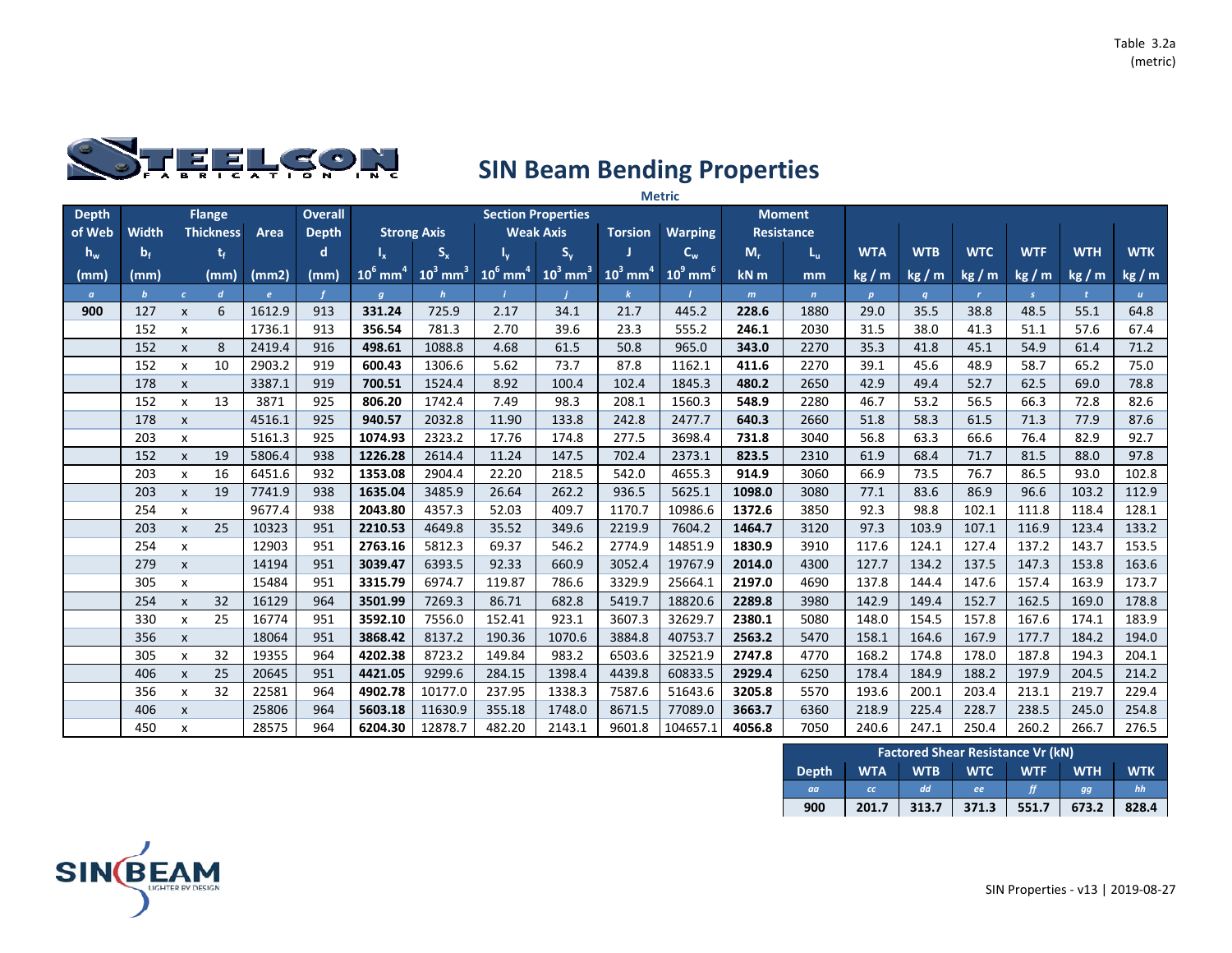

|              |              |                           |                  |        |                |                        |                        |                        |                           |                        | <b>Metric</b>          |        |                   |              |            |              |               |              |              |
|--------------|--------------|---------------------------|------------------|--------|----------------|------------------------|------------------------|------------------------|---------------------------|------------------------|------------------------|--------|-------------------|--------------|------------|--------------|---------------|--------------|--------------|
| <b>Depth</b> |              |                           | <b>Flange</b>    |        | <b>Overall</b> |                        |                        |                        | <b>Section Properties</b> |                        |                        |        | <b>Moment</b>     |              |            |              |               |              |              |
| of Web       | <b>Width</b> |                           | <b>Thickness</b> | Area   | <b>Depth</b>   |                        | <b>Strong Axis</b>     |                        | <b>Weak Axis</b>          | <b>Torsion</b>         | <b>Warping</b>         |        | <b>Resistance</b> |              |            |              |               |              |              |
| $h_w$        | $b_f$        |                           | t,               |        | d              | $I_{x}$                | $S_{x}$                |                        | $S_{y}$                   |                        | $C_w$                  | $M_r$  | $L_{\rm u}$       | <b>WTA</b>   | <b>WTB</b> | <b>WTC</b>   | <b>WTF</b>    | <b>WTH</b>   | <b>WTK</b>   |
| (mm)         | (mm)         |                           | (mm)             | (mm2)  | (mm)           | $10^6$ mm <sup>4</sup> | $10^3$ mm <sup>3</sup> | $10^6$ mm <sup>4</sup> | $10^3$ mm <sup>3</sup>    | $10^3$ mm <sup>4</sup> | $10^9$ mm <sup>6</sup> | kN m   | mm                | kg/m         | kg/m       | kg/m         | kg/m          | kg/m         | kg / m       |
| $\alpha$     | $\mathbf{b}$ | $\mathcal{C}$             | $\boldsymbol{d}$ | e      |                | $\boldsymbol{q}$       | $\mathbf{h}$           |                        |                           |                        |                        | m      | $\mathbf{n}$      | $\mathbf{p}$ | q          | $\mathbf{r}$ | $\mathcal{S}$ | $\mathbf{t}$ | $\mathbf{u}$ |
| 900          | 127          | $\mathsf{x}$              | 6                | 1612.9 | 913            | 331.24                 | 725.9                  | 2.17                   | 34.1                      | 21.7                   | 445.2                  | 228.6  | 1880              | 29.0         | 35.5       | 38.8         | 48.5          | 55.1         | 64.8         |
|              | 152          | X                         |                  | 1736.1 | 913            | 356.54                 | 781.3                  | 2.70                   | 39.6                      | 23.3                   | 555.2                  | 246.1  | 2030              | 31.5         | 38.0       | 41.3         | 51.1          | 57.6         | 67.4         |
|              | 152          | $\mathsf{x}$              | 8                | 2419.4 | 916            | 498.61                 | 1088.8                 | 4.68                   | 61.5                      | 50.8                   | 965.0                  | 343.0  | 2270              | 35.3         | 41.8       | 45.1         | 54.9          | 61.4         | 71.2         |
|              | 152          | X                         | 10               | 2903.2 | 919            | 600.43                 | 1306.6                 | 5.62                   | 73.7                      | 87.8                   | 1162.1                 | 411.6  | 2270              | 39.1         | 45.6       | 48.9         | 58.7          | 65.2         | 75.0         |
|              | 178          | $\pmb{\chi}$              |                  | 3387.1 | 919            | 700.51                 | 1524.4                 | 8.92                   | 100.4                     | 102.4                  | 1845.3                 | 480.2  | 2650              | 42.9         | 49.4       | 52.7         | 62.5          | 69.0         | 78.8         |
|              | 152          | $\pmb{\chi}$              | 13               | 3871   | 925            | 806.20                 | 1742.4                 | 7.49                   | 98.3                      | 208.1                  | 1560.3                 | 548.9  | 2280              | 46.7         | 53.2       | 56.5         | 66.3          | 72.8         | 82.6         |
|              | 178          | $\pmb{\chi}$              |                  | 4516.1 | 925            | 940.57                 | 2032.8                 | 11.90                  | 133.8                     | 242.8                  | 2477.7                 | 640.3  | 2660              | 51.8         | 58.3       | 61.5         | 71.3          | 77.9         | 87.6         |
|              | 203          | X                         |                  | 5161.3 | 925            | 1074.93                | 2323.2                 | 17.76                  | 174.8                     | 277.5                  | 3698.4                 | 731.8  | 3040              | 56.8         | 63.3       | 66.6         | 76.4          | 82.9         | 92.7         |
|              | 152          | $\mathsf{x}$              | 19               | 5806.4 | 938            | 1226.28                | 2614.4                 | 11.24                  | 147.5                     | 702.4                  | 2373.1                 | 823.5  | 2310              | 61.9         | 68.4       | 71.7         | 81.5          | 88.0         | 97.8         |
|              | 203          | X                         | 16               | 6451.6 | 932            | 1353.08                | 2904.4                 | 22.20                  | 218.5                     | 542.0                  | 4655.3                 | 914.9  | 3060              | 66.9         | 73.5       | 76.7         | 86.5          | 93.0         | 102.8        |
|              | 203          | $\pmb{\chi}$              | 19               | 7741.9 | 938            | 1635.04                | 3485.9                 | 26.64                  | 262.2                     | 936.5                  | 5625.1                 | 1098.0 | 3080              | 77.1         | 83.6       | 86.9         | 96.6          | 103.2        | 112.9        |
|              | 254          | x                         |                  | 9677.4 | 938            | 2043.80                | 4357.3                 | 52.03                  | 409.7                     | 1170.7                 | 10986.6                | 1372.6 | 3850              | 92.3         | 98.8       | 102.1        | 111.8         | 118.4        | 128.1        |
|              | 203          | $\pmb{\chi}$              | 25               | 10323  | 951            | 2210.53                | 4649.8                 | 35.52                  | 349.6                     | 2219.9                 | 7604.2                 | 1464.7 | 3120              | 97.3         | 103.9      | 107.1        | 116.9         | 123.4        | 133.2        |
|              | 254          | X                         |                  | 12903  | 951            | 2763.16                | 5812.3                 | 69.37                  | 546.2                     | 2774.9                 | 14851.9                | 1830.9 | 3910              | 117.6        | 124.1      | 127.4        | 137.2         | 143.7        | 153.5        |
|              | 279          | $\pmb{\chi}$              |                  | 14194  | 951            | 3039.47                | 6393.5                 | 92.33                  | 660.9                     | 3052.4                 | 19767.9                | 2014.0 | 4300              | 127.7        | 134.2      | 137.5        | 147.3         | 153.8        | 163.6        |
|              | 305          | x                         |                  | 15484  | 951            | 3315.79                | 6974.7                 | 119.87                 | 786.6                     | 3329.9                 | 25664.1                | 2197.0 | 4690              | 137.8        | 144.4      | 147.6        | 157.4         | 163.9        | 173.7        |
|              | 254          | $\pmb{\chi}$              | 32               | 16129  | 964            | 3501.99                | 7269.3                 | 86.71                  | 682.8                     | 5419.7                 | 18820.6                | 2289.8 | 3980              | 142.9        | 149.4      | 152.7        | 162.5         | 169.0        | 178.8        |
|              | 330          | $\boldsymbol{\mathsf{x}}$ | 25               | 16774  | 951            | 3592.10                | 7556.0                 | 152.41                 | 923.1                     | 3607.3                 | 32629.7                | 2380.1 | 5080              | 148.0        | 154.5      | 157.8        | 167.6         | 174.1        | 183.9        |
|              | 356          | $\pmb{\chi}$              |                  | 18064  | 951            | 3868.42                | 8137.2                 | 190.36                 | 1070.6                    | 3884.8                 | 40753.7                | 2563.2 | 5470              | 158.1        | 164.6      | 167.9        | 177.7         | 184.2        | 194.0        |
|              | 305          | X                         | 32               | 19355  | 964            | 4202.38                | 8723.2                 | 149.84                 | 983.2                     | 6503.6                 | 32521.9                | 2747.8 | 4770              | 168.2        | 174.8      | 178.0        | 187.8         | 194.3        | 204.1        |
|              | 406          | $\pmb{\chi}$              | 25               | 20645  | 951            | 4421.05                | 9299.6                 | 284.15                 | 1398.4                    | 4439.8                 | 60833.5                | 2929.4 | 6250              | 178.4        | 184.9      | 188.2        | 197.9         | 204.5        | 214.2        |
|              | 356          | X                         | 32               | 22581  | 964            | 4902.78                | 10177.0                | 237.95                 | 1338.3                    | 7587.6                 | 51643.6                | 3205.8 | 5570              | 193.6        | 200.1      | 203.4        | 213.1         | 219.7        | 229.4        |
|              | 406          | $\mathsf{x}$              |                  | 25806  | 964            | 5603.18                | 11630.9                | 355.18                 | 1748.0                    | 8671.5                 | 77089.0                | 3663.7 | 6360              | 218.9        | 225.4      | 228.7        | 238.5         | 245.0        | 254.8        |
|              | 450          | x                         |                  | 28575  | 964            | 6204.30                | 12878.7                | 482.20                 | 2143.1                    | 9601.8                 | 104657.1               | 4056.8 | 7050              | 240.6        | 247.1      | 250.4        | 260.2         | 266.7        | 276.5        |

|       |            |            | <b>Factored Shear Resistance Vr (kN)</b> |            |            |            |
|-------|------------|------------|------------------------------------------|------------|------------|------------|
| Depth | <b>WTA</b> | <b>WTB</b> | <b>WTC</b>                               | <b>WTF</b> | <b>WTH</b> | <b>WTK</b> |
| aa    | cc         | <b>dd</b>  | ee                                       |            | aa         | hh         |
| 900   | 201.7      | 313.7      | 371.3                                    | 551.7      | 673.2      | 828.4      |

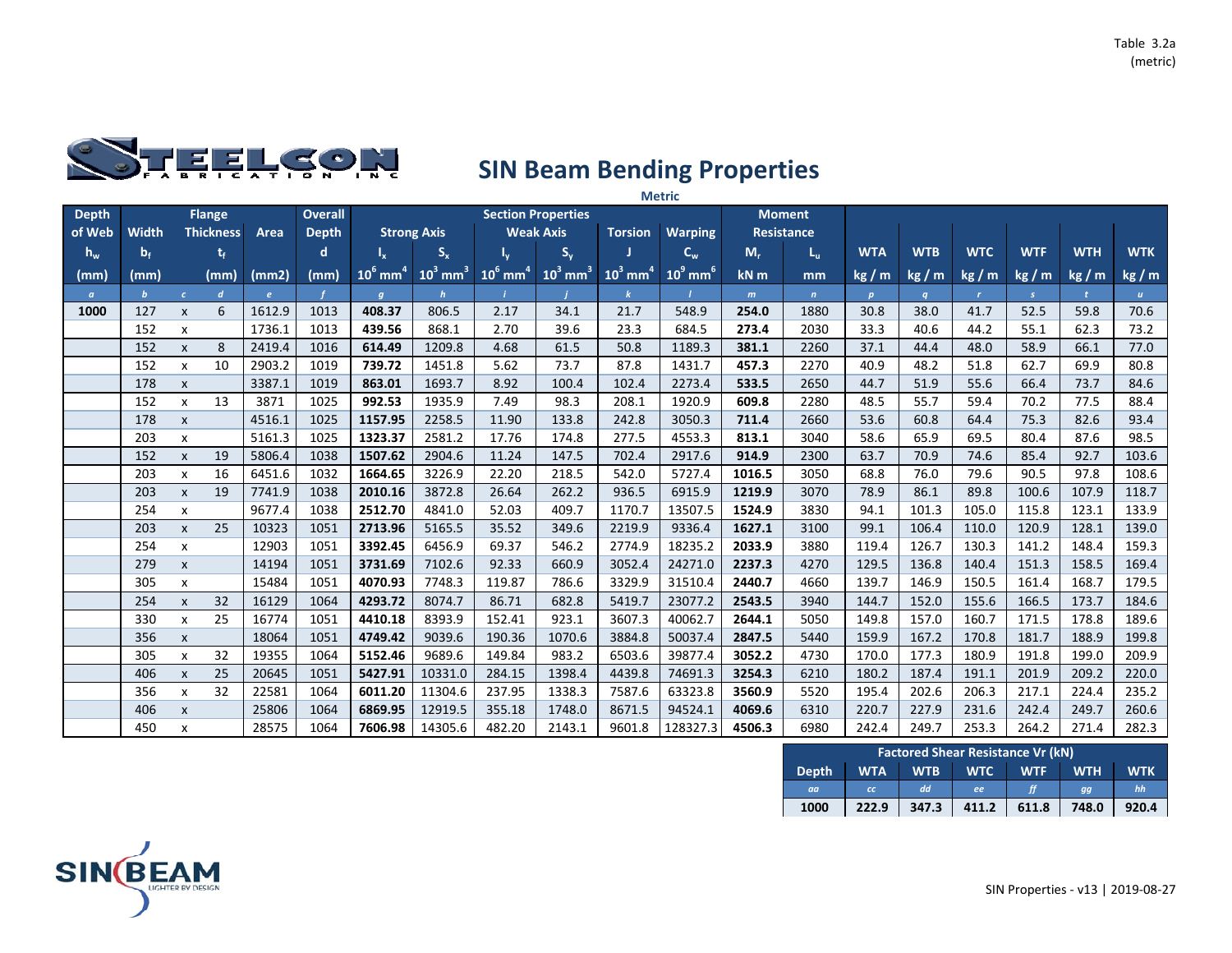

|              |              |                           | <b>Metric</b>    |        |                |                        |                        |                        |                           |                        |                        |        |                   |              |            |              |            |            |                  |
|--------------|--------------|---------------------------|------------------|--------|----------------|------------------------|------------------------|------------------------|---------------------------|------------------------|------------------------|--------|-------------------|--------------|------------|--------------|------------|------------|------------------|
| <b>Depth</b> |              |                           | <b>Flange</b>    |        | <b>Overall</b> |                        |                        |                        | <b>Section Properties</b> |                        |                        |        | <b>Moment</b>     |              |            |              |            |            |                  |
| of Web       | <b>Width</b> |                           | <b>Thickness</b> | Area   | <b>Depth</b>   |                        | <b>Strong Axis</b>     |                        | <b>Weak Axis</b>          | <b>Torsion</b>         | <b>Warping</b>         |        | <b>Resistance</b> |              |            |              |            |            |                  |
| $h_w$        | $b_f$        |                           | t,               |        | d              |                        | $S_{x}$                |                        | $S_{y}$                   |                        | $C_w$                  | $M_r$  | L <sub>u</sub>    | <b>WTA</b>   | <b>WTB</b> | <b>WTC</b>   | <b>WTF</b> | <b>WTH</b> | <b>WTK</b>       |
| (mm)         | (mm)         |                           | (mm)             | (mm2)  | (mm)           | $10^6$ mm <sup>4</sup> | $10^3$ mm <sup>3</sup> | $10^6$ mm <sup>4</sup> | $10^3$ mm <sup>3</sup>    | $10^3$ mm <sup>4</sup> | $10^9$ mm <sup>6</sup> | $kN$ m | mm                | kg/m         | kg/m       | kg/m         | kg/m       | kg/m       | kg / m           |
| $\alpha$     | $\mathbf{b}$ | $\epsilon$                | $\boldsymbol{d}$ | e      |                | $\boldsymbol{q}$       | $\mathbf{h}$           |                        |                           |                        |                        | m      | $\mathbf{n}$      | $\mathbf{p}$ | q          | $\mathbf{r}$ | S.         |            | $\boldsymbol{u}$ |
| 1000         | 127          | $\pmb{\times}$            | 6                | 1612.9 | 1013           | 408.37                 | 806.5                  | 2.17                   | 34.1                      | 21.7                   | 548.9                  | 254.0  | 1880              | 30.8         | 38.0       | 41.7         | 52.5       | 59.8       | 70.6             |
|              | 152          | x                         |                  | 1736.1 | 1013           | 439.56                 | 868.1                  | 2.70                   | 39.6                      | 23.3                   | 684.5                  | 273.4  | 2030              | 33.3         | 40.6       | 44.2         | 55.1       | 62.3       | 73.2             |
|              | 152          | $\pmb{\times}$            | 8                | 2419.4 | 1016           | 614.49                 | 1209.8                 | 4.68                   | 61.5                      | 50.8                   | 1189.3                 | 381.1  | 2260              | 37.1         | 44.4       | 48.0         | 58.9       | 66.1       | 77.0             |
|              | 152          | X                         | 10               | 2903.2 | 1019           | 739.72                 | 1451.8                 | 5.62                   | 73.7                      | 87.8                   | 1431.7                 | 457.3  | 2270              | 40.9         | 48.2       | 51.8         | 62.7       | 69.9       | 80.8             |
|              | 178          | $\pmb{\chi}$              |                  | 3387.1 | 1019           | 863.01                 | 1693.7                 | 8.92                   | 100.4                     | 102.4                  | 2273.4                 | 533.5  | 2650              | 44.7         | 51.9       | 55.6         | 66.4       | 73.7       | 84.6             |
|              | 152          | $\pmb{\times}$            | 13               | 3871   | 1025           | 992.53                 | 1935.9                 | 7.49                   | 98.3                      | 208.1                  | 1920.9                 | 609.8  | 2280              | 48.5         | 55.7       | 59.4         | 70.2       | 77.5       | 88.4             |
|              | 178          | $\pmb{\chi}$              |                  | 4516.1 | 1025           | 1157.95                | 2258.5                 | 11.90                  | 133.8                     | 242.8                  | 3050.3                 | 711.4  | 2660              | 53.6         | 60.8       | 64.4         | 75.3       | 82.6       | 93.4             |
|              | 203          | X                         |                  | 5161.3 | 1025           | 1323.37                | 2581.2                 | 17.76                  | 174.8                     | 277.5                  | 4553.3                 | 813.1  | 3040              | 58.6         | 65.9       | 69.5         | 80.4       | 87.6       | 98.5             |
|              | 152          | $\pmb{\chi}$              | 19               | 5806.4 | 1038           | 1507.62                | 2904.6                 | 11.24                  | 147.5                     | 702.4                  | 2917.6                 | 914.9  | 2300              | 63.7         | 70.9       | 74.6         | 85.4       | 92.7       | 103.6            |
|              | 203          | x                         | 16               | 6451.6 | 1032           | 1664.65                | 3226.9                 | 22.20                  | 218.5                     | 542.0                  | 5727.4                 | 1016.5 | 3050              | 68.8         | 76.0       | 79.6         | 90.5       | 97.8       | 108.6            |
|              | 203          | $\mathsf{x}$              | 19               | 7741.9 | 1038           | 2010.16                | 3872.8                 | 26.64                  | 262.2                     | 936.5                  | 6915.9                 | 1219.9 | 3070              | 78.9         | 86.1       | 89.8         | 100.6      | 107.9      | 118.7            |
|              | 254          | X                         |                  | 9677.4 | 1038           | 2512.70                | 4841.0                 | 52.03                  | 409.7                     | 1170.7                 | 13507.5                | 1524.9 | 3830              | 94.1         | 101.3      | 105.0        | 115.8      | 123.1      | 133.9            |
|              | 203          | $\pmb{\chi}$              | 25               | 10323  | 1051           | 2713.96                | 5165.5                 | 35.52                  | 349.6                     | 2219.9                 | 9336.4                 | 1627.1 | 3100              | 99.1         | 106.4      | 110.0        | 120.9      | 128.1      | 139.0            |
|              | 254          | x                         |                  | 12903  | 1051           | 3392.45                | 6456.9                 | 69.37                  | 546.2                     | 2774.9                 | 18235.2                | 2033.9 | 3880              | 119.4        | 126.7      | 130.3        | 141.2      | 148.4      | 159.3            |
|              | 279          | $\boldsymbol{\mathsf{x}}$ |                  | 14194  | 1051           | 3731.69                | 7102.6                 | 92.33                  | 660.9                     | 3052.4                 | 24271.0                | 2237.3 | 4270              | 129.5        | 136.8      | 140.4        | 151.3      | 158.5      | 169.4            |
|              | 305          | X                         |                  | 15484  | 1051           | 4070.93                | 7748.3                 | 119.87                 | 786.6                     | 3329.9                 | 31510.4                | 2440.7 | 4660              | 139.7        | 146.9      | 150.5        | 161.4      | 168.7      | 179.5            |
|              | 254          | $\pmb{\chi}$              | 32               | 16129  | 1064           | 4293.72                | 8074.7                 | 86.71                  | 682.8                     | 5419.7                 | 23077.2                | 2543.5 | 3940              | 144.7        | 152.0      | 155.6        | 166.5      | 173.7      | 184.6            |
|              | 330          | $\pmb{\chi}$              | 25               | 16774  | 1051           | 4410.18                | 8393.9                 | 152.41                 | 923.1                     | 3607.3                 | 40062.7                | 2644.1 | 5050              | 149.8        | 157.0      | 160.7        | 171.5      | 178.8      | 189.6            |
|              | 356          | $\pmb{\chi}$              |                  | 18064  | 1051           | 4749.42                | 9039.6                 | 190.36                 | 1070.6                    | 3884.8                 | 50037.4                | 2847.5 | 5440              | 159.9        | 167.2      | 170.8        | 181.7      | 188.9      | 199.8            |
|              | 305          | X                         | 32               | 19355  | 1064           | 5152.46                | 9689.6                 | 149.84                 | 983.2                     | 6503.6                 | 39877.4                | 3052.2 | 4730              | 170.0        | 177.3      | 180.9        | 191.8      | 199.0      | 209.9            |
|              | 406          | $\pmb{\chi}$              | 25               | 20645  | 1051           | 5427.91                | 10331.0                | 284.15                 | 1398.4                    | 4439.8                 | 74691.3                | 3254.3 | 6210              | 180.2        | 187.4      | 191.1        | 201.9      | 209.2      | 220.0            |
|              | 356          | X                         | 32               | 22581  | 1064           | 6011.20                | 11304.6                | 237.95                 | 1338.3                    | 7587.6                 | 63323.8                | 3560.9 | 5520              | 195.4        | 202.6      | 206.3        | 217.1      | 224.4      | 235.2            |
|              | 406          | $\pmb{\times}$            |                  | 25806  | 1064           | 6869.95                | 12919.5                | 355.18                 | 1748.0                    | 8671.5                 | 94524.1                | 4069.6 | 6310              | 220.7        | 227.9      | 231.6        | 242.4      | 249.7      | 260.6            |
|              | 450          | x                         |                  | 28575  | 1064           | 7606.98                | 14305.6                | 482.20                 | 2143.1                    | 9601.8                 | 128327.3               | 4506.3 | 6980              | 242.4        | 249.7      | 253.3        | 264.2      | 271.4      | 282.3            |

|              | <b>Factored Shear Resistance Vr (kN)</b> |            |            |            |            |            |  |  |  |  |  |  |  |  |
|--------------|------------------------------------------|------------|------------|------------|------------|------------|--|--|--|--|--|--|--|--|
| <b>Depth</b> | <b>WTA</b>                               | <b>WTB</b> | <b>WTC</b> | <b>WTF</b> | <b>WTH</b> | <b>WTK</b> |  |  |  |  |  |  |  |  |
| aa           | cc                                       | <b>dd</b>  | ee         |            | aa         | hh         |  |  |  |  |  |  |  |  |
| 1000         | 222.9                                    | 347.3      | 411.2      | 611.8      | 748.0      | 920.4      |  |  |  |  |  |  |  |  |

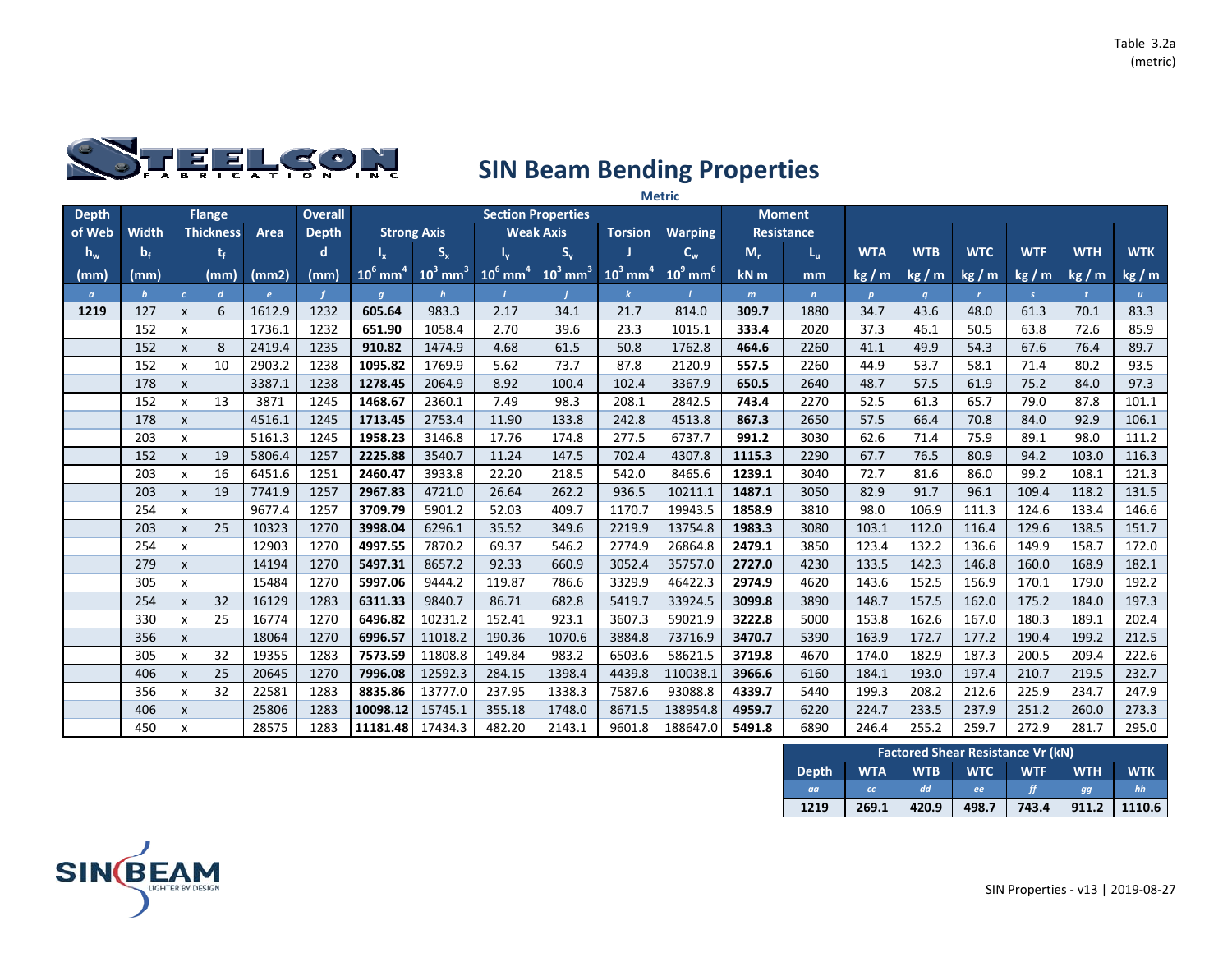

|              |              |                           | <b>Metric</b>    |        |                |                        |                        |                        |                           |                        |                        |        |                   |              |            |              |            |            |              |
|--------------|--------------|---------------------------|------------------|--------|----------------|------------------------|------------------------|------------------------|---------------------------|------------------------|------------------------|--------|-------------------|--------------|------------|--------------|------------|------------|--------------|
| <b>Depth</b> |              |                           | <b>Flange</b>    |        | <b>Overall</b> |                        |                        |                        | <b>Section Properties</b> |                        |                        |        | <b>Moment</b>     |              |            |              |            |            |              |
| of Web       | <b>Width</b> |                           | <b>Thickness</b> | Area   | <b>Depth</b>   |                        | <b>Strong Axis</b>     |                        | <b>Weak Axis</b>          | <b>Torsion</b>         | <b>Warping</b>         |        | <b>Resistance</b> |              |            |              |            |            |              |
| $h_w$        | $b_f$        |                           | t,               |        | d              |                        | $S_{x}$                |                        | $S_{y}$                   |                        | $C_w$                  | $M_r$  | L <sub>u</sub>    | <b>WTA</b>   | <b>WTB</b> | <b>WTC</b>   | <b>WTF</b> | <b>WTH</b> | <b>WTK</b>   |
| (mm)         | (mm)         |                           | (mm)             | (mm2)  | (mm)           | $10^6$ mm <sup>4</sup> | $10^3$ mm <sup>3</sup> | $10^6$ mm <sup>4</sup> | $10^3$ mm <sup>3</sup>    | $10^3$ mm <sup>4</sup> | $10^9$ mm <sup>6</sup> | $kN$ m | mm                | kg/m         | kg/m       | kg/m         | kg/m       | kg/m       | kg / m       |
| $\alpha$     | $\mathbf{b}$ | $\epsilon$                | $\boldsymbol{d}$ | e      |                | $\boldsymbol{q}$       | $\mathbf{h}$           |                        |                           |                        |                        | m      | $\mathbf{n}$      | $\mathbf{p}$ | q          | $\mathbf{r}$ | S.         |            | $\mathbf{u}$ |
| 1219         | 127          | $\pmb{\times}$            | 6                | 1612.9 | 1232           | 605.64                 | 983.3                  | 2.17                   | 34.1                      | 21.7                   | 814.0                  | 309.7  | 1880              | 34.7         | 43.6       | 48.0         | 61.3       | 70.1       | 83.3         |
|              | 152          | x                         |                  | 1736.1 | 1232           | 651.90                 | 1058.4                 | 2.70                   | 39.6                      | 23.3                   | 1015.1                 | 333.4  | 2020              | 37.3         | 46.1       | 50.5         | 63.8       | 72.6       | 85.9         |
|              | 152          | $\pmb{\times}$            | 8                | 2419.4 | 1235           | 910.82                 | 1474.9                 | 4.68                   | 61.5                      | 50.8                   | 1762.8                 | 464.6  | 2260              | 41.1         | 49.9       | 54.3         | 67.6       | 76.4       | 89.7         |
|              | 152          | X                         | 10               | 2903.2 | 1238           | 1095.82                | 1769.9                 | 5.62                   | 73.7                      | 87.8                   | 2120.9                 | 557.5  | 2260              | 44.9         | 53.7       | 58.1         | 71.4       | 80.2       | 93.5         |
|              | 178          | $\pmb{\chi}$              |                  | 3387.1 | 1238           | 1278.45                | 2064.9                 | 8.92                   | 100.4                     | 102.4                  | 3367.9                 | 650.5  | 2640              | 48.7         | 57.5       | 61.9         | 75.2       | 84.0       | 97.3         |
|              | 152          | $\pmb{\times}$            | 13               | 3871   | 1245           | 1468.67                | 2360.1                 | 7.49                   | 98.3                      | 208.1                  | 2842.5                 | 743.4  | 2270              | 52.5         | 61.3       | 65.7         | 79.0       | 87.8       | 101.1        |
|              | 178          | $\pmb{\chi}$              |                  | 4516.1 | 1245           | 1713.45                | 2753.4                 | 11.90                  | 133.8                     | 242.8                  | 4513.8                 | 867.3  | 2650              | 57.5         | 66.4       | 70.8         | 84.0       | 92.9       | 106.1        |
|              | 203          | X                         |                  | 5161.3 | 1245           | 1958.23                | 3146.8                 | 17.76                  | 174.8                     | 277.5                  | 6737.7                 | 991.2  | 3030              | 62.6         | 71.4       | 75.9         | 89.1       | 98.0       | 111.2        |
|              | 152          | $\pmb{\chi}$              | 19               | 5806.4 | 1257           | 2225.88                | 3540.7                 | 11.24                  | 147.5                     | 702.4                  | 4307.8                 | 1115.3 | 2290              | 67.7         | 76.5       | 80.9         | 94.2       | 103.0      | 116.3        |
|              | 203          | x                         | 16               | 6451.6 | 1251           | 2460.47                | 3933.8                 | 22.20                  | 218.5                     | 542.0                  | 8465.6                 | 1239.1 | 3040              | 72.7         | 81.6       | 86.0         | 99.2       | 108.1      | 121.3        |
|              | 203          | $\pmb{\chi}$              | 19               | 7741.9 | 1257           | 2967.83                | 4721.0                 | 26.64                  | 262.2                     | 936.5                  | 10211.1                | 1487.1 | 3050              | 82.9         | 91.7       | 96.1         | 109.4      | 118.2      | 131.5        |
|              | 254          | X                         |                  | 9677.4 | 1257           | 3709.79                | 5901.2                 | 52.03                  | 409.7                     | 1170.7                 | 19943.5                | 1858.9 | 3810              | 98.0         | 106.9      | 111.3        | 124.6      | 133.4      | 146.6        |
|              | 203          | $\pmb{\chi}$              | 25               | 10323  | 1270           | 3998.04                | 6296.1                 | 35.52                  | 349.6                     | 2219.9                 | 13754.8                | 1983.3 | 3080              | 103.1        | 112.0      | 116.4        | 129.6      | 138.5      | 151.7        |
|              | 254          | x                         |                  | 12903  | 1270           | 4997.55                | 7870.2                 | 69.37                  | 546.2                     | 2774.9                 | 26864.8                | 2479.1 | 3850              | 123.4        | 132.2      | 136.6        | 149.9      | 158.7      | 172.0        |
|              | 279          | $\boldsymbol{\mathsf{x}}$ |                  | 14194  | 1270           | 5497.31                | 8657.2                 | 92.33                  | 660.9                     | 3052.4                 | 35757.0                | 2727.0 | 4230              | 133.5        | 142.3      | 146.8        | 160.0      | 168.9      | 182.1        |
|              | 305          | X                         |                  | 15484  | 1270           | 5997.06                | 9444.2                 | 119.87                 | 786.6                     | 3329.9                 | 46422.3                | 2974.9 | 4620              | 143.6        | 152.5      | 156.9        | 170.1      | 179.0      | 192.2        |
|              | 254          | $\pmb{\chi}$              | 32               | 16129  | 1283           | 6311.33                | 9840.7                 | 86.71                  | 682.8                     | 5419.7                 | 33924.5                | 3099.8 | 3890              | 148.7        | 157.5      | 162.0        | 175.2      | 184.0      | 197.3        |
|              | 330          | $\pmb{\chi}$              | 25               | 16774  | 1270           | 6496.82                | 10231.2                | 152.41                 | 923.1                     | 3607.3                 | 59021.9                | 3222.8 | 5000              | 153.8        | 162.6      | 167.0        | 180.3      | 189.1      | 202.4        |
|              | 356          | $\pmb{\chi}$              |                  | 18064  | 1270           | 6996.57                | 11018.2                | 190.36                 | 1070.6                    | 3884.8                 | 73716.9                | 3470.7 | 5390              | 163.9        | 172.7      | 177.2        | 190.4      | 199.2      | 212.5        |
|              | 305          | X                         | 32               | 19355  | 1283           | 7573.59                | 11808.8                | 149.84                 | 983.2                     | 6503.6                 | 58621.5                | 3719.8 | 4670              | 174.0        | 182.9      | 187.3        | 200.5      | 209.4      | 222.6        |
|              | 406          | $\boldsymbol{\mathsf{x}}$ | 25               | 20645  | 1270           | 7996.08                | 12592.3                | 284.15                 | 1398.4                    | 4439.8                 | 110038.1               | 3966.6 | 6160              | 184.1        | 193.0      | 197.4        | 210.7      | 219.5      | 232.7        |
|              | 356          | $\mathsf{x}$              | 32               | 22581  | 1283           | 8835.86                | 13777.0                | 237.95                 | 1338.3                    | 7587.6                 | 93088.8                | 4339.7 | 5440              | 199.3        | 208.2      | 212.6        | 225.9      | 234.7      | 247.9        |
|              | 406          | $\pmb{\times}$            |                  | 25806  | 1283           | 10098.12               | 15745.1                | 355.18                 | 1748.0                    | 8671.5                 | 138954.8               | 4959.7 | 6220              | 224.7        | 233.5      | 237.9        | 251.2      | 260.0      | 273.3        |
|              | 450          | x                         |                  | 28575  | 1283           | 11181.48               | 17434.3                | 482.20                 | 2143.1                    | 9601.8                 | 188647.0               | 5491.8 | 6890              | 246.4        | 255.2      | 259.7        | 272.9      | 281.7      | 295.0        |

|       | <b>Factored Shear Resistance Vr (kN)</b> |            |            |            |            |            |  |  |  |  |  |  |  |  |
|-------|------------------------------------------|------------|------------|------------|------------|------------|--|--|--|--|--|--|--|--|
| Depth | <b>WTA</b>                               | <b>WTB</b> | <b>WTC</b> | <b>WTF</b> | <b>WTH</b> | <b>WTK</b> |  |  |  |  |  |  |  |  |
| aa    | cc                                       | dd.        | ee         |            | aa         | hh         |  |  |  |  |  |  |  |  |
| 1219  | 269.1                                    | 420.9      | 498.7      | 743.4      | 911.2      | 1110.6     |  |  |  |  |  |  |  |  |

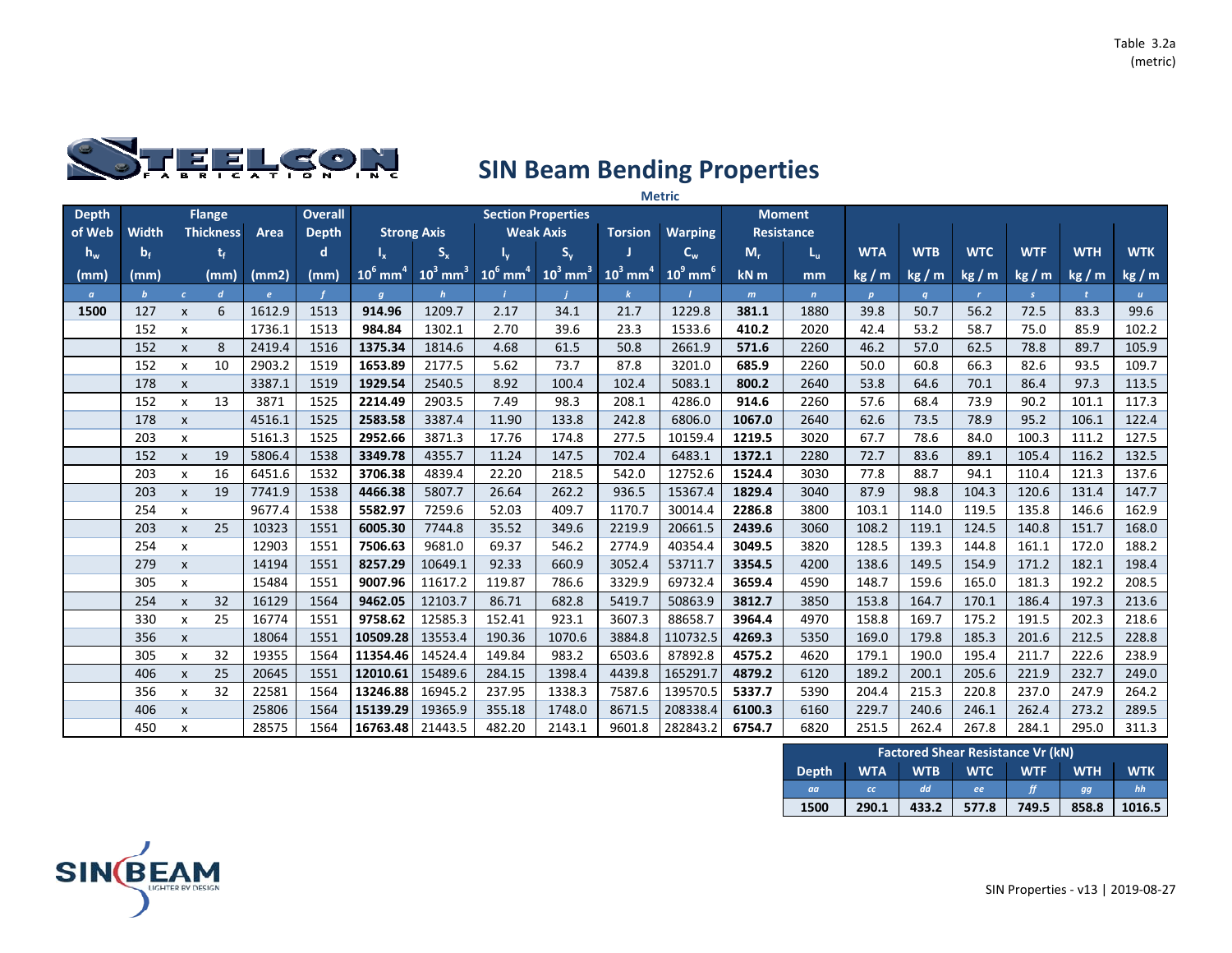

|              |              |                           |                  |            |                |                        |                        |                        |                           |                        | <b>Metric</b>          |        |                   |              |                  |              |               |            |                  |  |  |  |  |  |
|--------------|--------------|---------------------------|------------------|------------|----------------|------------------------|------------------------|------------------------|---------------------------|------------------------|------------------------|--------|-------------------|--------------|------------------|--------------|---------------|------------|------------------|--|--|--|--|--|
| <b>Depth</b> |              |                           | <b>Flange</b>    |            | <b>Overall</b> |                        |                        |                        | <b>Section Properties</b> |                        |                        |        | <b>Moment</b>     |              |                  |              |               |            |                  |  |  |  |  |  |
| of Web       | Width        |                           | <b>Thickness</b> | Area       | <b>Depth</b>   |                        | <b>Strong Axis</b>     |                        | <b>Weak Axis</b>          | <b>Torsion</b>         | <b>Warping</b>         |        | <b>Resistance</b> |              |                  |              |               |            |                  |  |  |  |  |  |
| $h_w$        | $b_f$        |                           | t,               |            | d              | I <sub>v</sub>         | $S_{x}$                |                        | $S_{y}$                   |                        | $C_{w}$                | $M_r$  | L <sub>u</sub>    | <b>WTA</b>   | <b>WTB</b>       | <b>WTC</b>   | <b>WTF</b>    | <b>WTH</b> | <b>WTK</b>       |  |  |  |  |  |
| (mm)         | (mm)         |                           | (mm)             | (mm2)      | (mm)           | $10^6$ mm <sup>4</sup> | $10^3$ mm <sup>3</sup> | $10^6$ mm <sup>4</sup> | $10^3$ mm <sup>3</sup>    | $10^3$ mm <sup>4</sup> | $10^9$ mm <sup>6</sup> | $kN$ m | mm                | kg/m         | kg/m             | kg/m         | kg / m        | kg/m       | kg / m           |  |  |  |  |  |
| $\alpha$     | $\mathbf{b}$ | $\epsilon$                | $\overline{d}$   | $\epsilon$ |                | $\boldsymbol{q}$       | h                      |                        |                           | $\bf{k}$               |                        | m      | $\mathbf{n}$      | $\mathbf{p}$ | $\boldsymbol{q}$ | $\mathbf{r}$ | $\mathcal{S}$ |            | $\boldsymbol{u}$ |  |  |  |  |  |
| 1500         | 127          | $\pmb{\times}$            | 6                | 1612.9     | 1513           | 914.96                 | 1209.7                 | 2.17                   | 34.1                      | 21.7                   | 1229.8                 | 381.1  | 1880              | 39.8         | 50.7             | 56.2         | 72.5          | 83.3       | 99.6             |  |  |  |  |  |
|              | 152          | X                         |                  | 1736.1     | 1513           | 984.84                 | 1302.1                 | 2.70                   | 39.6                      | 23.3                   | 1533.6                 | 410.2  | 2020              | 42.4         | 53.2             | 58.7         | 75.0          | 85.9       | 102.2            |  |  |  |  |  |
|              | 152          | $\pmb{\times}$            | 8                | 2419.4     | 1516           | 1375.34                | 1814.6                 | 4.68                   | 61.5                      | 50.8                   | 2661.9                 | 571.6  | 2260              | 46.2         | 57.0             | 62.5         | 78.8          | 89.7       | 105.9            |  |  |  |  |  |
|              | 152          | X                         | 10               | 2903.2     | 1519           | 1653.89                | 2177.5                 | 5.62                   | 73.7                      | 87.8                   | 3201.0                 | 685.9  | 2260              | 50.0         | 60.8             | 66.3         | 82.6          | 93.5       | 109.7            |  |  |  |  |  |
|              | 178          | $\pmb{\chi}$              |                  | 3387.1     | 1519           | 1929.54                | 2540.5                 | 8.92                   | 100.4                     | 102.4                  | 5083.1                 | 800.2  | 2640              | 53.8         | 64.6             | 70.1         | 86.4          | 97.3       | 113.5            |  |  |  |  |  |
|              | 152          | $\pmb{\times}$            | 13               | 3871       | 1525           | 2214.49                | 2903.5                 | 7.49                   | 98.3                      | 208.1                  | 4286.0                 | 914.6  | 2260              | 57.6         | 68.4             | 73.9         | 90.2          | 101.1      | 117.3            |  |  |  |  |  |
|              | 178          | $\pmb{\chi}$              |                  | 4516.1     | 1525           | 2583.58                | 3387.4                 | 11.90                  | 133.8                     | 242.8                  | 6806.0                 | 1067.0 | 2640              | 62.6         | 73.5             | 78.9         | 95.2          | 106.1      | 122.4            |  |  |  |  |  |
|              | 203          | X                         |                  | 5161.3     | 1525           | 2952.66                | 3871.3                 | 17.76                  | 174.8                     | 277.5                  | 10159.4                | 1219.5 | 3020              | 67.7         | 78.6             | 84.0         | 100.3         | 111.2      | 127.5            |  |  |  |  |  |
|              | 152          | $\pmb{\chi}$              | 19               | 5806.4     | 1538           | 3349.78                | 4355.7                 | 11.24                  | 147.5                     | 702.4                  | 6483.1                 | 1372.1 | 2280              | 72.7         | 83.6             | 89.1         | 105.4         | 116.2      | 132.5            |  |  |  |  |  |
|              | 203          | x                         | 16               | 6451.6     | 1532           | 3706.38                | 4839.4                 | 22.20                  | 218.5                     | 542.0                  | 12752.6                | 1524.4 | 3030              | 77.8         | 88.7             | 94.1         | 110.4         | 121.3      | 137.6            |  |  |  |  |  |
|              | 203          | $\mathsf{x}$              | 19               | 7741.9     | 1538           | 4466.38                | 5807.7                 | 26.64                  | 262.2                     | 936.5                  | 15367.4                | 1829.4 | 3040              | 87.9         | 98.8             | 104.3        | 120.6         | 131.4      | 147.7            |  |  |  |  |  |
|              | 254          | $\pmb{\times}$            |                  | 9677.4     | 1538           | 5582.97                | 7259.6                 | 52.03                  | 409.7                     | 1170.7                 | 30014.4                | 2286.8 | 3800              | 103.1        | 114.0            | 119.5        | 135.8         | 146.6      | 162.9            |  |  |  |  |  |
|              | 203          | $\pmb{\chi}$              | 25               | 10323      | 1551           | 6005.30                | 7744.8                 | 35.52                  | 349.6                     | 2219.9                 | 20661.5                | 2439.6 | 3060              | 108.2        | 119.1            | 124.5        | 140.8         | 151.7      | 168.0            |  |  |  |  |  |
|              | 254          | X                         |                  | 12903      | 1551           | 7506.63                | 9681.0                 | 69.37                  | 546.2                     | 2774.9                 | 40354.4                | 3049.5 | 3820              | 128.5        | 139.3            | 144.8        | 161.1         | 172.0      | 188.2            |  |  |  |  |  |
|              | 279          | $\boldsymbol{\mathsf{x}}$ |                  | 14194      | 1551           | 8257.29                | 10649.1                | 92.33                  | 660.9                     | 3052.4                 | 53711.7                | 3354.5 | 4200              | 138.6        | 149.5            | 154.9        | 171.2         | 182.1      | 198.4            |  |  |  |  |  |
|              | 305          | $\pmb{\times}$            |                  | 15484      | 1551           | 9007.96                | 11617.2                | 119.87                 | 786.6                     | 3329.9                 | 69732.4                | 3659.4 | 4590              | 148.7        | 159.6            | 165.0        | 181.3         | 192.2      | 208.5            |  |  |  |  |  |
|              | 254          | $\pmb{\chi}$              | 32               | 16129      | 1564           | 9462.05                | 12103.7                | 86.71                  | 682.8                     | 5419.7                 | 50863.9                | 3812.7 | 3850              | 153.8        | 164.7            | 170.1        | 186.4         | 197.3      | 213.6            |  |  |  |  |  |
|              | 330          | $\pmb{\chi}$              | 25               | 16774      | 1551           | 9758.62                | 12585.3                | 152.41                 | 923.1                     | 3607.3                 | 88658.7                | 3964.4 | 4970              | 158.8        | 169.7            | 175.2        | 191.5         | 202.3      | 218.6            |  |  |  |  |  |
|              | 356          | $\pmb{\mathsf{X}}$        |                  | 18064      | 1551           | 10509.28               | 13553.4                | 190.36                 | 1070.6                    | 3884.8                 | 110732.5               | 4269.3 | 5350              | 169.0        | 179.8            | 185.3        | 201.6         | 212.5      | 228.8            |  |  |  |  |  |
|              | 305          | $\pmb{\times}$            | 32               | 19355      | 1564           | 11354.46               | 14524.4                | 149.84                 | 983.2                     | 6503.6                 | 87892.8                | 4575.2 | 4620              | 179.1        | 190.0            | 195.4        | 211.7         | 222.6      | 238.9            |  |  |  |  |  |
|              | 406          | $\boldsymbol{\mathsf{x}}$ | 25               | 20645      | 1551           | 12010.61               | 15489.6                | 284.15                 | 1398.4                    | 4439.8                 | 165291.7               | 4879.2 | 6120              | 189.2        | 200.1            | 205.6        | 221.9         | 232.7      | 249.0            |  |  |  |  |  |
|              | 356          | X                         | 32               | 22581      | 1564           | 13246.88               | 16945.2                | 237.95                 | 1338.3                    | 7587.6                 | 139570.5               | 5337.7 | 5390              | 204.4        | 215.3            | 220.8        | 237.0         | 247.9      | 264.2            |  |  |  |  |  |
|              | 406          | $\pmb{\chi}$              |                  | 25806      | 1564           | 15139.29               | 19365.9                | 355.18                 | 1748.0                    | 8671.5                 | 208338.4               | 6100.3 | 6160              | 229.7        | 240.6            | 246.1        | 262.4         | 273.2      | 289.5            |  |  |  |  |  |
|              | 450          | $\pmb{\times}$            |                  | 28575      | 1564           | 16763.48               | 21443.5                | 482.20                 | 2143.1                    | 9601.8                 | 282843.2               | 6754.7 | 6820              | 251.5        | 262.4            | 267.8        | 284.1         | 295.0      | 311.3            |  |  |  |  |  |

|                                                             | <b>Factored Shear Resistance Vr (kN)</b> |            |            |            |            |            |  |  |  |  |  |  |  |  |
|-------------------------------------------------------------|------------------------------------------|------------|------------|------------|------------|------------|--|--|--|--|--|--|--|--|
| <b>Depth</b>                                                | <b>WTA</b>                               | <b>WTB</b> | <b>WTC</b> | <b>WTF</b> | <b>WTH</b> | <b>WTK</b> |  |  |  |  |  |  |  |  |
| aa                                                          | cc                                       | dd         | ee         | ff         | gg         | hh         |  |  |  |  |  |  |  |  |
| 290.1<br>858.8<br>433.2<br>1016.5<br>1500<br>749.5<br>577.8 |                                          |            |            |            |            |            |  |  |  |  |  |  |  |  |